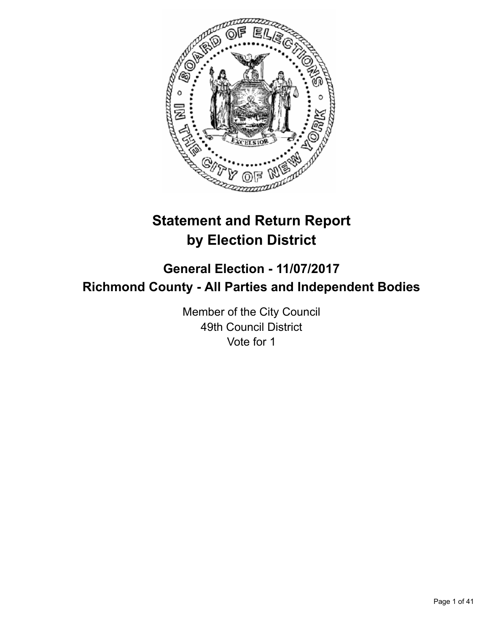

# **Statement and Return Report by Election District**

## **General Election - 11/07/2017 Richmond County - All Parties and Independent Bodies**

Member of the City Council 49th Council District Vote for 1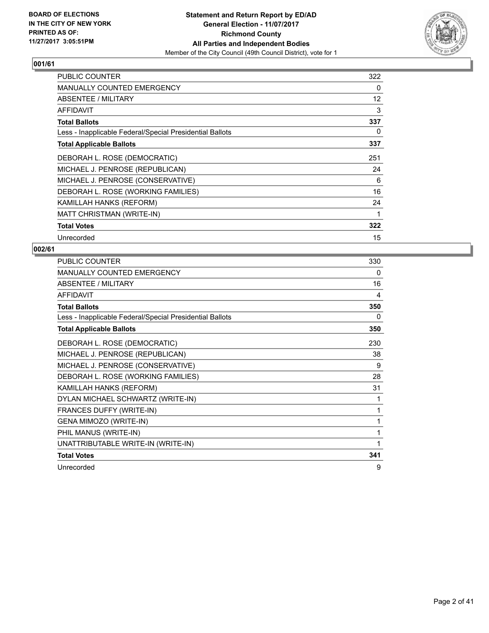

| <b>PUBLIC COUNTER</b>                                    | 322 |
|----------------------------------------------------------|-----|
| MANUALLY COUNTED EMERGENCY                               | 0   |
| ABSENTEE / MILITARY                                      | 12  |
| AFFIDAVIT                                                | 3   |
| <b>Total Ballots</b>                                     | 337 |
| Less - Inapplicable Federal/Special Presidential Ballots | 0   |
| <b>Total Applicable Ballots</b>                          | 337 |
| DEBORAH L. ROSE (DEMOCRATIC)                             | 251 |
| MICHAEL J. PENROSE (REPUBLICAN)                          | 24  |
| MICHAEL J. PENROSE (CONSERVATIVE)                        | 6   |
| DEBORAH L. ROSE (WORKING FAMILIES)                       | 16  |
| KAMILLAH HANKS (REFORM)                                  | 24  |
| MATT CHRISTMAN (WRITE-IN)                                | 1   |
| <b>Total Votes</b>                                       | 322 |
| Unrecorded                                               | 15  |

| PUBLIC COUNTER                                           | 330 |
|----------------------------------------------------------|-----|
| <b>MANUALLY COUNTED EMERGENCY</b>                        | 0   |
| ABSENTEE / MILITARY                                      | 16  |
| <b>AFFIDAVIT</b>                                         | 4   |
| <b>Total Ballots</b>                                     | 350 |
| Less - Inapplicable Federal/Special Presidential Ballots | 0   |
| <b>Total Applicable Ballots</b>                          | 350 |
| DEBORAH L. ROSE (DEMOCRATIC)                             | 230 |
| MICHAEL J. PENROSE (REPUBLICAN)                          | 38  |
| MICHAEL J. PENROSE (CONSERVATIVE)                        | 9   |
| DEBORAH L. ROSE (WORKING FAMILIES)                       | 28  |
| KAMILLAH HANKS (REFORM)                                  | 31  |
| DYLAN MICHAEL SCHWARTZ (WRITE-IN)                        | 1   |
| FRANCES DUFFY (WRITE-IN)                                 | 1   |
| GENA MIMOZO (WRITE-IN)                                   | 1   |
| PHIL MANUS (WRITE-IN)                                    | 1   |
| UNATTRIBUTABLE WRITE-IN (WRITE-IN)                       | 1   |
| <b>Total Votes</b>                                       | 341 |
| Unrecorded                                               | 9   |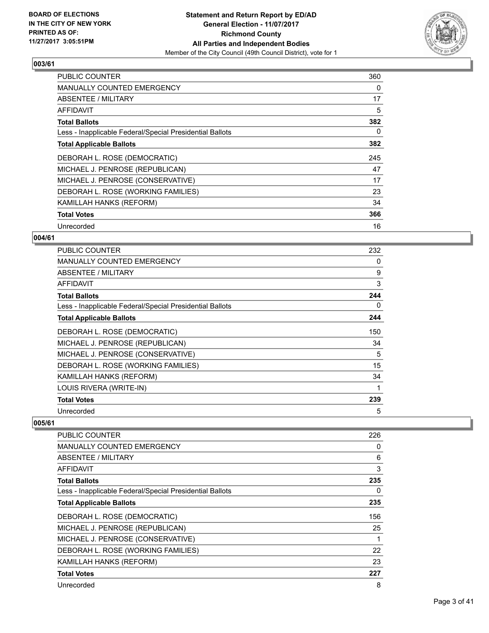

| <b>PUBLIC COUNTER</b>                                    | 360 |
|----------------------------------------------------------|-----|
| <b>MANUALLY COUNTED EMERGENCY</b>                        | 0   |
| <b>ABSENTEE / MILITARY</b>                               | 17  |
| AFFIDAVIT                                                | 5   |
| <b>Total Ballots</b>                                     | 382 |
| Less - Inapplicable Federal/Special Presidential Ballots | 0   |
| <b>Total Applicable Ballots</b>                          | 382 |
| DEBORAH L. ROSE (DEMOCRATIC)                             | 245 |
| MICHAEL J. PENROSE (REPUBLICAN)                          | 47  |
| MICHAEL J. PENROSE (CONSERVATIVE)                        | 17  |
| DEBORAH L. ROSE (WORKING FAMILIES)                       | 23  |
| KAMILLAH HANKS (REFORM)                                  | 34  |
| <b>Total Votes</b>                                       | 366 |
| Unrecorded                                               | 16  |

## **004/61**

| <b>PUBLIC COUNTER</b>                                    | 232 |
|----------------------------------------------------------|-----|
| <b>MANUALLY COUNTED EMERGENCY</b>                        | 0   |
| ABSENTEE / MILITARY                                      | 9   |
| AFFIDAVIT                                                | 3   |
| <b>Total Ballots</b>                                     | 244 |
| Less - Inapplicable Federal/Special Presidential Ballots | 0   |
| <b>Total Applicable Ballots</b>                          | 244 |
| DEBORAH L. ROSE (DEMOCRATIC)                             | 150 |
| MICHAEL J. PENROSE (REPUBLICAN)                          | 34  |
| MICHAEL J. PENROSE (CONSERVATIVE)                        | 5   |
| DEBORAH L. ROSE (WORKING FAMILIES)                       | 15  |
| KAMILLAH HANKS (REFORM)                                  | 34  |
| LOUIS RIVERA (WRITE-IN)                                  |     |
| <b>Total Votes</b>                                       | 239 |
| Unrecorded                                               | 5   |

| PUBLIC COUNTER                                           | 226 |
|----------------------------------------------------------|-----|
| MANUALLY COUNTED EMERGENCY                               | 0   |
| ABSENTEE / MILITARY                                      | 6   |
| AFFIDAVIT                                                | 3   |
| <b>Total Ballots</b>                                     | 235 |
| Less - Inapplicable Federal/Special Presidential Ballots | 0   |
| <b>Total Applicable Ballots</b>                          | 235 |
| DEBORAH L. ROSE (DEMOCRATIC)                             | 156 |
| MICHAEL J. PENROSE (REPUBLICAN)                          | 25  |
| MICHAEL J. PENROSE (CONSERVATIVE)                        | 1   |
| DEBORAH L. ROSE (WORKING FAMILIES)                       | 22  |
| <b>KAMILLAH HANKS (REFORM)</b>                           | 23  |
| <b>Total Votes</b>                                       | 227 |
| Unrecorded                                               | 8   |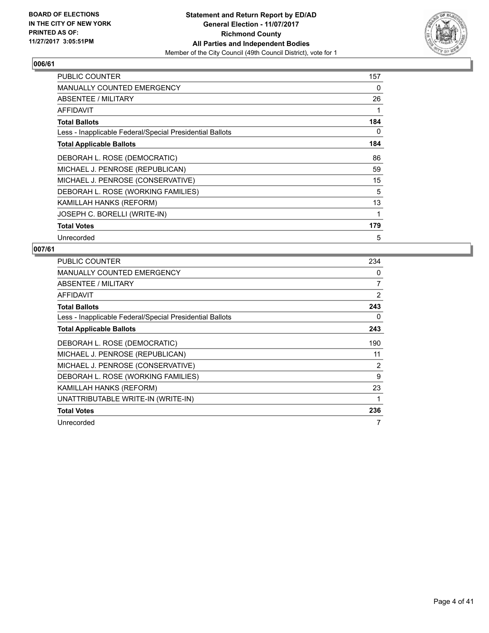

| <b>PUBLIC COUNTER</b>                                    | 157 |
|----------------------------------------------------------|-----|
| <b>MANUALLY COUNTED EMERGENCY</b>                        | 0   |
| <b>ABSENTEE / MILITARY</b>                               | 26  |
| <b>AFFIDAVIT</b>                                         | 1   |
| <b>Total Ballots</b>                                     | 184 |
| Less - Inapplicable Federal/Special Presidential Ballots | 0   |
| <b>Total Applicable Ballots</b>                          | 184 |
| DEBORAH L. ROSE (DEMOCRATIC)                             | 86  |
| MICHAEL J. PENROSE (REPUBLICAN)                          | 59  |
| MICHAEL J. PENROSE (CONSERVATIVE)                        | 15  |
| DEBORAH L. ROSE (WORKING FAMILIES)                       | 5   |
| KAMILLAH HANKS (REFORM)                                  | 13  |
| JOSEPH C. BORELLI (WRITE-IN)                             | 1   |
| <b>Total Votes</b>                                       | 179 |
| Unrecorded                                               | 5   |

| <b>PUBLIC COUNTER</b>                                    | 234 |
|----------------------------------------------------------|-----|
| <b>MANUALLY COUNTED EMERGENCY</b>                        | 0   |
| ABSENTEE / MILITARY                                      | 7   |
| AFFIDAVIT                                                | 2   |
| <b>Total Ballots</b>                                     | 243 |
| Less - Inapplicable Federal/Special Presidential Ballots | 0   |
| <b>Total Applicable Ballots</b>                          | 243 |
| DEBORAH L. ROSE (DEMOCRATIC)                             | 190 |
| MICHAEL J. PENROSE (REPUBLICAN)                          | 11  |
| MICHAEL J. PENROSE (CONSERVATIVE)                        | 2   |
| DEBORAH L. ROSE (WORKING FAMILIES)                       | 9   |
| KAMILLAH HANKS (REFORM)                                  | 23  |
| UNATTRIBUTABLE WRITE-IN (WRITE-IN)                       | 1   |
| <b>Total Votes</b>                                       | 236 |
| Unrecorded                                               | 7   |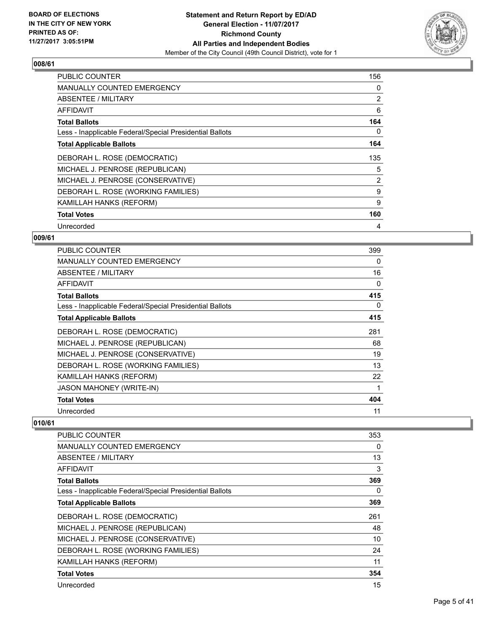

| <b>PUBLIC COUNTER</b>                                    | 156            |
|----------------------------------------------------------|----------------|
| <b>MANUALLY COUNTED EMERGENCY</b>                        | 0              |
| <b>ABSENTEE / MILITARY</b>                               | $\overline{2}$ |
| AFFIDAVIT                                                | 6              |
| <b>Total Ballots</b>                                     | 164            |
| Less - Inapplicable Federal/Special Presidential Ballots | 0              |
| <b>Total Applicable Ballots</b>                          | 164            |
| DEBORAH L. ROSE (DEMOCRATIC)                             | 135            |
| MICHAEL J. PENROSE (REPUBLICAN)                          | 5              |
| MICHAEL J. PENROSE (CONSERVATIVE)                        | 2              |
| DEBORAH L. ROSE (WORKING FAMILIES)                       | 9              |
| KAMILLAH HANKS (REFORM)                                  | 9              |
| <b>Total Votes</b>                                       | 160            |
| Unrecorded                                               | 4              |

## **009/61**

| <b>PUBLIC COUNTER</b>                                    | 399 |
|----------------------------------------------------------|-----|
| <b>MANUALLY COUNTED EMERGENCY</b>                        | 0   |
| ABSENTEE / MILITARY                                      | 16  |
| AFFIDAVIT                                                | 0   |
| <b>Total Ballots</b>                                     | 415 |
| Less - Inapplicable Federal/Special Presidential Ballots | 0   |
| <b>Total Applicable Ballots</b>                          | 415 |
| DEBORAH L. ROSE (DEMOCRATIC)                             | 281 |
| MICHAEL J. PENROSE (REPUBLICAN)                          | 68  |
| MICHAEL J. PENROSE (CONSERVATIVE)                        | 19  |
| DEBORAH L. ROSE (WORKING FAMILIES)                       | 13  |
| KAMILLAH HANKS (REFORM)                                  | 22  |
| <b>JASON MAHONEY (WRITE-IN)</b>                          |     |
| <b>Total Votes</b>                                       | 404 |
| Unrecorded                                               | 11  |

| <b>PUBLIC COUNTER</b>                                    | 353 |
|----------------------------------------------------------|-----|
| <b>MANUALLY COUNTED EMERGENCY</b>                        | 0   |
| ABSENTEE / MILITARY                                      | 13  |
| AFFIDAVIT                                                | 3   |
| <b>Total Ballots</b>                                     | 369 |
| Less - Inapplicable Federal/Special Presidential Ballots | 0   |
| <b>Total Applicable Ballots</b>                          | 369 |
| DEBORAH L. ROSE (DEMOCRATIC)                             | 261 |
| MICHAEL J. PENROSE (REPUBLICAN)                          | 48  |
| MICHAEL J. PENROSE (CONSERVATIVE)                        | 10  |
| DEBORAH L. ROSE (WORKING FAMILIES)                       | 24  |
| KAMILLAH HANKS (REFORM)                                  | 11  |
| <b>Total Votes</b>                                       | 354 |
| Unrecorded                                               | 15  |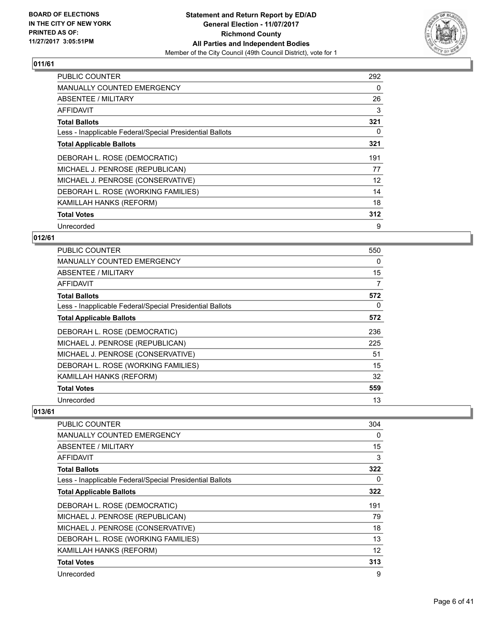

| PUBLIC COUNTER                                           | 292 |
|----------------------------------------------------------|-----|
| <b>MANUALLY COUNTED EMERGENCY</b>                        | 0   |
| ABSENTEE / MILITARY                                      | 26  |
| AFFIDAVIT                                                | 3   |
| <b>Total Ballots</b>                                     | 321 |
| Less - Inapplicable Federal/Special Presidential Ballots | 0   |
| <b>Total Applicable Ballots</b>                          | 321 |
| DEBORAH L. ROSE (DEMOCRATIC)                             | 191 |
| MICHAEL J. PENROSE (REPUBLICAN)                          | 77  |
| MICHAEL J. PENROSE (CONSERVATIVE)                        | 12  |
| DEBORAH L. ROSE (WORKING FAMILIES)                       | 14  |
| KAMILLAH HANKS (REFORM)                                  | 18  |
| <b>Total Votes</b>                                       | 312 |
| Unrecorded                                               | 9   |

## **012/61**

| <b>PUBLIC COUNTER</b>                                    | 550 |
|----------------------------------------------------------|-----|
| <b>MANUALLY COUNTED EMERGENCY</b>                        | 0   |
| ABSENTEE / MILITARY                                      | 15  |
| AFFIDAVIT                                                | 7   |
| <b>Total Ballots</b>                                     | 572 |
| Less - Inapplicable Federal/Special Presidential Ballots | 0   |
| <b>Total Applicable Ballots</b>                          | 572 |
| DEBORAH L. ROSE (DEMOCRATIC)                             | 236 |
| MICHAEL J. PENROSE (REPUBLICAN)                          | 225 |
| MICHAEL J. PENROSE (CONSERVATIVE)                        | 51  |
| DEBORAH L. ROSE (WORKING FAMILIES)                       | 15  |
| KAMILLAH HANKS (REFORM)                                  | 32  |
| <b>Total Votes</b>                                       | 559 |
| Unrecorded                                               | 13  |

| <b>PUBLIC COUNTER</b>                                    | 304 |
|----------------------------------------------------------|-----|
| <b>MANUALLY COUNTED EMERGENCY</b>                        | 0   |
| ABSENTEE / MILITARY                                      | 15  |
| AFFIDAVIT                                                | 3   |
| <b>Total Ballots</b>                                     | 322 |
| Less - Inapplicable Federal/Special Presidential Ballots | 0   |
| <b>Total Applicable Ballots</b>                          | 322 |
| DEBORAH L. ROSE (DEMOCRATIC)                             | 191 |
| MICHAEL J. PENROSE (REPUBLICAN)                          | 79  |
| MICHAEL J. PENROSE (CONSERVATIVE)                        | 18  |
| DEBORAH L. ROSE (WORKING FAMILIES)                       | 13  |
| KAMILLAH HANKS (REFORM)                                  | 12  |
| <b>Total Votes</b>                                       | 313 |
| Unrecorded                                               | 9   |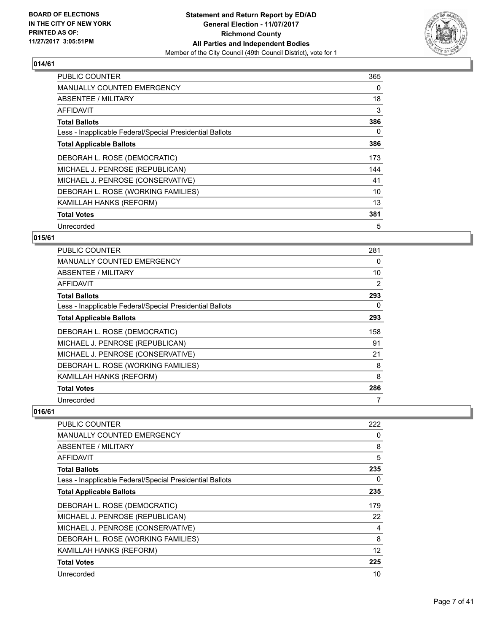

| <b>PUBLIC COUNTER</b>                                    | 365 |
|----------------------------------------------------------|-----|
| <b>MANUALLY COUNTED EMERGENCY</b>                        | 0   |
| <b>ABSENTEE / MILITARY</b>                               | 18  |
| AFFIDAVIT                                                | 3   |
| <b>Total Ballots</b>                                     | 386 |
| Less - Inapplicable Federal/Special Presidential Ballots | 0   |
| <b>Total Applicable Ballots</b>                          | 386 |
| DEBORAH L. ROSE (DEMOCRATIC)                             | 173 |
| MICHAEL J. PENROSE (REPUBLICAN)                          | 144 |
| MICHAEL J. PENROSE (CONSERVATIVE)                        | 41  |
| DEBORAH L. ROSE (WORKING FAMILIES)                       | 10  |
| KAMILLAH HANKS (REFORM)                                  | 13  |
| <b>Total Votes</b>                                       | 381 |
| Unrecorded                                               | 5   |

## **015/61**

| <b>PUBLIC COUNTER</b>                                    | 281 |
|----------------------------------------------------------|-----|
| <b>MANUALLY COUNTED EMERGENCY</b>                        | 0   |
| ABSENTEE / MILITARY                                      | 10  |
| AFFIDAVIT                                                | 2   |
| <b>Total Ballots</b>                                     | 293 |
| Less - Inapplicable Federal/Special Presidential Ballots | 0   |
| <b>Total Applicable Ballots</b>                          | 293 |
| DEBORAH L. ROSE (DEMOCRATIC)                             | 158 |
| MICHAEL J. PENROSE (REPUBLICAN)                          | 91  |
| MICHAEL J. PENROSE (CONSERVATIVE)                        | 21  |
| DEBORAH L. ROSE (WORKING FAMILIES)                       | 8   |
| KAMILLAH HANKS (REFORM)                                  | 8   |
| <b>Total Votes</b>                                       | 286 |
| Unrecorded                                               |     |

| <b>PUBLIC COUNTER</b>                                    | 222 |
|----------------------------------------------------------|-----|
| <b>MANUALLY COUNTED EMERGENCY</b>                        | 0   |
| <b>ABSENTEE / MILITARY</b>                               | 8   |
| <b>AFFIDAVIT</b>                                         | 5   |
| <b>Total Ballots</b>                                     | 235 |
| Less - Inapplicable Federal/Special Presidential Ballots | 0   |
| <b>Total Applicable Ballots</b>                          | 235 |
| DEBORAH L. ROSE (DEMOCRATIC)                             | 179 |
| MICHAEL J. PENROSE (REPUBLICAN)                          | 22  |
| MICHAEL J. PENROSE (CONSERVATIVE)                        | 4   |
| DEBORAH L. ROSE (WORKING FAMILIES)                       | 8   |
| KAMILLAH HANKS (REFORM)                                  | 12  |
| <b>Total Votes</b>                                       | 225 |
| Unrecorded                                               | 10  |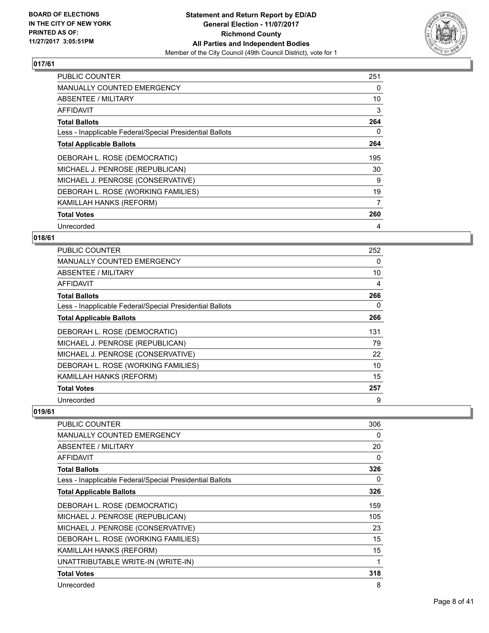

| PUBLIC COUNTER                                           | 251 |
|----------------------------------------------------------|-----|
| <b>MANUALLY COUNTED EMERGENCY</b>                        | 0   |
| <b>ABSENTEE / MILITARY</b>                               | 10  |
| AFFIDAVIT                                                | 3   |
| <b>Total Ballots</b>                                     | 264 |
| Less - Inapplicable Federal/Special Presidential Ballots | 0   |
| <b>Total Applicable Ballots</b>                          | 264 |
| DEBORAH L. ROSE (DEMOCRATIC)                             | 195 |
| MICHAEL J. PENROSE (REPUBLICAN)                          | 30  |
| MICHAEL J. PENROSE (CONSERVATIVE)                        | 9   |
| DEBORAH L. ROSE (WORKING FAMILIES)                       | 19  |
| KAMILLAH HANKS (REFORM)                                  | 7   |
| <b>Total Votes</b>                                       | 260 |
| Unrecorded                                               | 4   |

## **018/61**

| <b>PUBLIC COUNTER</b>                                    | 252 |
|----------------------------------------------------------|-----|
| MANUALLY COUNTED EMERGENCY                               | 0   |
| ABSENTEE / MILITARY                                      | 10  |
| AFFIDAVIT                                                | 4   |
| <b>Total Ballots</b>                                     | 266 |
| Less - Inapplicable Federal/Special Presidential Ballots | 0   |
| <b>Total Applicable Ballots</b>                          | 266 |
| DEBORAH L. ROSE (DEMOCRATIC)                             | 131 |
| MICHAEL J. PENROSE (REPUBLICAN)                          | 79  |
| MICHAEL J. PENROSE (CONSERVATIVE)                        | 22  |
| DEBORAH L. ROSE (WORKING FAMILIES)                       | 10  |
| KAMILLAH HANKS (REFORM)                                  | 15  |
| <b>Total Votes</b>                                       | 257 |
| Unrecorded                                               | 9   |

| PUBLIC COUNTER                                           | 306 |
|----------------------------------------------------------|-----|
| <b>MANUALLY COUNTED EMERGENCY</b>                        | 0   |
| ABSENTEE / MILITARY                                      | 20  |
| <b>AFFIDAVIT</b>                                         | 0   |
| <b>Total Ballots</b>                                     | 326 |
| Less - Inapplicable Federal/Special Presidential Ballots | 0   |
| <b>Total Applicable Ballots</b>                          | 326 |
| DEBORAH L. ROSE (DEMOCRATIC)                             | 159 |
| MICHAEL J. PENROSE (REPUBLICAN)                          | 105 |
| MICHAEL J. PENROSE (CONSERVATIVE)                        | 23  |
| DEBORAH L. ROSE (WORKING FAMILIES)                       | 15  |
| KAMILLAH HANKS (REFORM)                                  | 15  |
| UNATTRIBUTABLE WRITE-IN (WRITE-IN)                       | 1   |
| <b>Total Votes</b>                                       | 318 |
| Unrecorded                                               | 8   |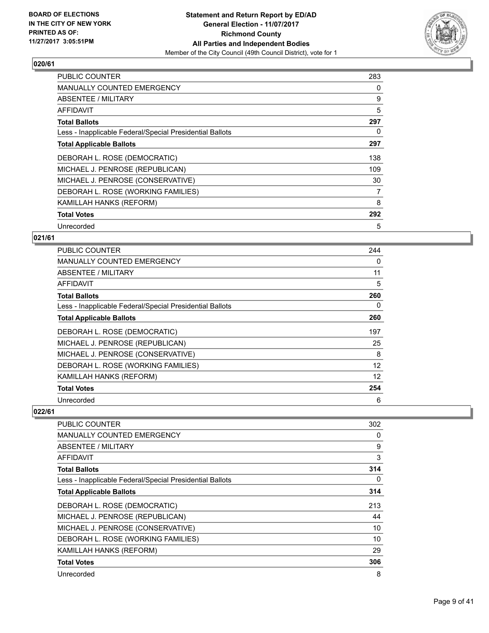

| <b>PUBLIC COUNTER</b>                                    | 283 |
|----------------------------------------------------------|-----|
| <b>MANUALLY COUNTED EMERGENCY</b>                        | 0   |
| <b>ABSENTEE / MILITARY</b>                               | 9   |
| AFFIDAVIT                                                | 5   |
| <b>Total Ballots</b>                                     | 297 |
| Less - Inapplicable Federal/Special Presidential Ballots | 0   |
| <b>Total Applicable Ballots</b>                          | 297 |
| DEBORAH L. ROSE (DEMOCRATIC)                             | 138 |
| MICHAEL J. PENROSE (REPUBLICAN)                          | 109 |
| MICHAEL J. PENROSE (CONSERVATIVE)                        | 30  |
| DEBORAH L. ROSE (WORKING FAMILIES)                       | 7   |
| KAMILLAH HANKS (REFORM)                                  | 8   |
| <b>Total Votes</b>                                       | 292 |
| Unrecorded                                               | 5   |

## **021/61**

| <b>PUBLIC COUNTER</b>                                    | 244 |
|----------------------------------------------------------|-----|
| <b>MANUALLY COUNTED EMERGENCY</b>                        | 0   |
| ABSENTEE / MILITARY                                      | 11  |
| AFFIDAVIT                                                | 5   |
| <b>Total Ballots</b>                                     | 260 |
| Less - Inapplicable Federal/Special Presidential Ballots | 0   |
| <b>Total Applicable Ballots</b>                          | 260 |
| DEBORAH L. ROSE (DEMOCRATIC)                             | 197 |
| MICHAEL J. PENROSE (REPUBLICAN)                          | 25  |
| MICHAEL J. PENROSE (CONSERVATIVE)                        | 8   |
| DEBORAH L. ROSE (WORKING FAMILIES)                       | 12  |
| KAMILLAH HANKS (REFORM)                                  | 12  |
| <b>Total Votes</b>                                       | 254 |
| Unrecorded                                               | 6   |

| PUBLIC COUNTER                                           | 302 |
|----------------------------------------------------------|-----|
| <b>MANUALLY COUNTED EMERGENCY</b>                        | 0   |
| <b>ABSENTEE / MILITARY</b>                               | 9   |
| AFFIDAVIT                                                | 3   |
| <b>Total Ballots</b>                                     | 314 |
| Less - Inapplicable Federal/Special Presidential Ballots | 0   |
| <b>Total Applicable Ballots</b>                          | 314 |
| DEBORAH L. ROSE (DEMOCRATIC)                             | 213 |
| MICHAEL J. PENROSE (REPUBLICAN)                          | 44  |
| MICHAEL J. PENROSE (CONSERVATIVE)                        | 10  |
| DEBORAH L. ROSE (WORKING FAMILIES)                       | 10  |
| KAMILLAH HANKS (REFORM)                                  | 29  |
| <b>Total Votes</b>                                       | 306 |
| Unrecorded                                               | 8   |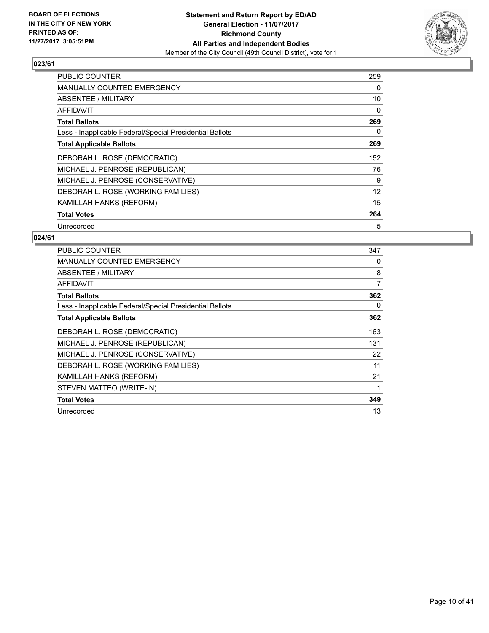

| <b>PUBLIC COUNTER</b>                                    | 259 |
|----------------------------------------------------------|-----|
| <b>MANUALLY COUNTED EMERGENCY</b>                        | 0   |
| <b>ABSENTEE / MILITARY</b>                               | 10  |
| AFFIDAVIT                                                | 0   |
| <b>Total Ballots</b>                                     | 269 |
| Less - Inapplicable Federal/Special Presidential Ballots | 0   |
| <b>Total Applicable Ballots</b>                          | 269 |
| DEBORAH L. ROSE (DEMOCRATIC)                             | 152 |
| MICHAEL J. PENROSE (REPUBLICAN)                          | 76  |
| MICHAEL J. PENROSE (CONSERVATIVE)                        | 9   |
| DEBORAH L. ROSE (WORKING FAMILIES)                       | 12  |
| KAMILLAH HANKS (REFORM)                                  | 15  |
| <b>Total Votes</b>                                       | 264 |
| Unrecorded                                               | 5   |

| <b>PUBLIC COUNTER</b>                                    | 347 |
|----------------------------------------------------------|-----|
| <b>MANUALLY COUNTED EMERGENCY</b>                        | 0   |
| ABSENTEE / MILITARY                                      | 8   |
| <b>AFFIDAVIT</b>                                         | 7   |
| <b>Total Ballots</b>                                     | 362 |
| Less - Inapplicable Federal/Special Presidential Ballots | 0   |
| <b>Total Applicable Ballots</b>                          | 362 |
| DEBORAH L. ROSE (DEMOCRATIC)                             | 163 |
| MICHAEL J. PENROSE (REPUBLICAN)                          | 131 |
| MICHAEL J. PENROSE (CONSERVATIVE)                        | 22  |
| DEBORAH L. ROSE (WORKING FAMILIES)                       | 11  |
| KAMILLAH HANKS (REFORM)                                  | 21  |
| STEVEN MATTEO (WRITE-IN)                                 |     |
| <b>Total Votes</b>                                       | 349 |
| Unrecorded                                               | 13  |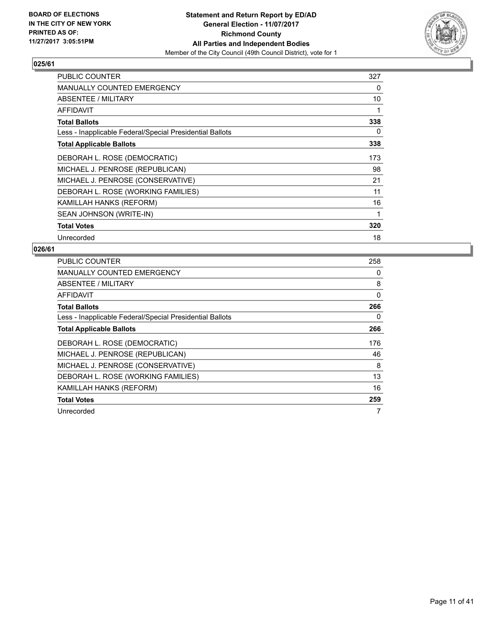

| <b>PUBLIC COUNTER</b>                                    | 327 |
|----------------------------------------------------------|-----|
| <b>MANUALLY COUNTED EMERGENCY</b>                        | 0   |
| ABSENTEE / MILITARY                                      | 10  |
| AFFIDAVIT                                                |     |
| <b>Total Ballots</b>                                     | 338 |
| Less - Inapplicable Federal/Special Presidential Ballots | 0   |
| <b>Total Applicable Ballots</b>                          | 338 |
| DEBORAH L. ROSE (DEMOCRATIC)                             | 173 |
| MICHAEL J. PENROSE (REPUBLICAN)                          | 98  |
| MICHAEL J. PENROSE (CONSERVATIVE)                        | 21  |
| DEBORAH L. ROSE (WORKING FAMILIES)                       | 11  |
| KAMILLAH HANKS (REFORM)                                  | 16  |
| SEAN JOHNSON (WRITE-IN)                                  |     |
| <b>Total Votes</b>                                       | 320 |
| Unrecorded                                               | 18  |

| <b>PUBLIC COUNTER</b>                                    | 258 |
|----------------------------------------------------------|-----|
| <b>MANUALLY COUNTED EMERGENCY</b>                        | 0   |
| <b>ABSENTEE / MILITARY</b>                               | 8   |
| AFFIDAVIT                                                | 0   |
| <b>Total Ballots</b>                                     | 266 |
| Less - Inapplicable Federal/Special Presidential Ballots | 0   |
| <b>Total Applicable Ballots</b>                          | 266 |
| DEBORAH L. ROSE (DEMOCRATIC)                             | 176 |
| MICHAEL J. PENROSE (REPUBLICAN)                          | 46  |
| MICHAEL J. PENROSE (CONSERVATIVE)                        | 8   |
| DEBORAH L. ROSE (WORKING FAMILIES)                       | 13  |
| KAMILLAH HANKS (REFORM)                                  | 16  |
| <b>Total Votes</b>                                       | 259 |
| Unrecorded                                               | 7   |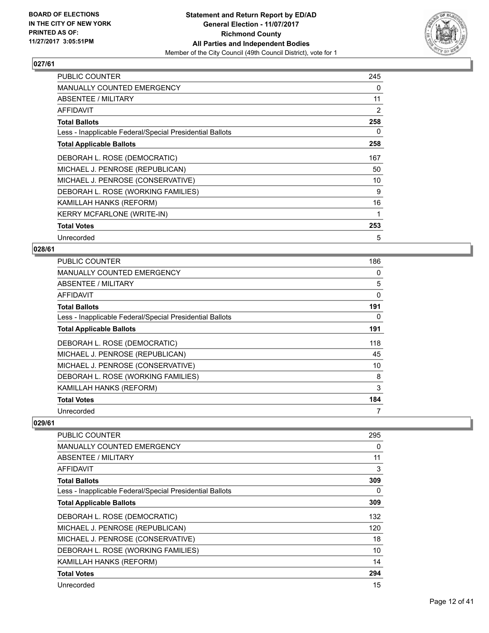

| <b>PUBLIC COUNTER</b>                                    | 245 |
|----------------------------------------------------------|-----|
| <b>MANUALLY COUNTED EMERGENCY</b>                        | 0   |
| ABSENTEE / MILITARY                                      | 11  |
| <b>AFFIDAVIT</b>                                         | 2   |
| <b>Total Ballots</b>                                     | 258 |
| Less - Inapplicable Federal/Special Presidential Ballots | 0   |
| <b>Total Applicable Ballots</b>                          | 258 |
| DEBORAH L. ROSE (DEMOCRATIC)                             | 167 |
| MICHAEL J. PENROSE (REPUBLICAN)                          | 50  |
| MICHAEL J. PENROSE (CONSERVATIVE)                        | 10  |
| DEBORAH L. ROSE (WORKING FAMILIES)                       | 9   |
| KAMILLAH HANKS (REFORM)                                  | 16  |
| <b>KERRY MCFARLONE (WRITE-IN)</b>                        | 1   |
| <b>Total Votes</b>                                       | 253 |
| Unrecorded                                               | 5   |

## **028/61**

| <b>PUBLIC COUNTER</b>                                    | 186 |
|----------------------------------------------------------|-----|
| <b>MANUALLY COUNTED EMERGENCY</b>                        | 0   |
| ABSENTEE / MILITARY                                      | 5   |
| AFFIDAVIT                                                | 0   |
| <b>Total Ballots</b>                                     | 191 |
| Less - Inapplicable Federal/Special Presidential Ballots | 0   |
| <b>Total Applicable Ballots</b>                          | 191 |
| DEBORAH L. ROSE (DEMOCRATIC)                             | 118 |
| MICHAEL J. PENROSE (REPUBLICAN)                          | 45  |
| MICHAEL J. PENROSE (CONSERVATIVE)                        | 10  |
| DEBORAH L. ROSE (WORKING FAMILIES)                       | 8   |
| KAMILLAH HANKS (REFORM)                                  | 3   |
| <b>Total Votes</b>                                       | 184 |
| Unrecorded                                               | 7   |

| PUBLIC COUNTER                                           | 295 |
|----------------------------------------------------------|-----|
| <b>MANUALLY COUNTED EMERGENCY</b>                        | 0   |
| ABSENTEE / MILITARY                                      | 11  |
| AFFIDAVIT                                                | 3   |
| <b>Total Ballots</b>                                     | 309 |
| Less - Inapplicable Federal/Special Presidential Ballots | 0   |
| <b>Total Applicable Ballots</b>                          | 309 |
| DEBORAH L. ROSE (DEMOCRATIC)                             | 132 |
| MICHAEL J. PENROSE (REPUBLICAN)                          | 120 |
| MICHAEL J. PENROSE (CONSERVATIVE)                        | 18  |
| DEBORAH L. ROSE (WORKING FAMILIES)                       | 10  |
| KAMILLAH HANKS (REFORM)                                  | 14  |
| <b>Total Votes</b>                                       | 294 |
| Unrecorded                                               | 15  |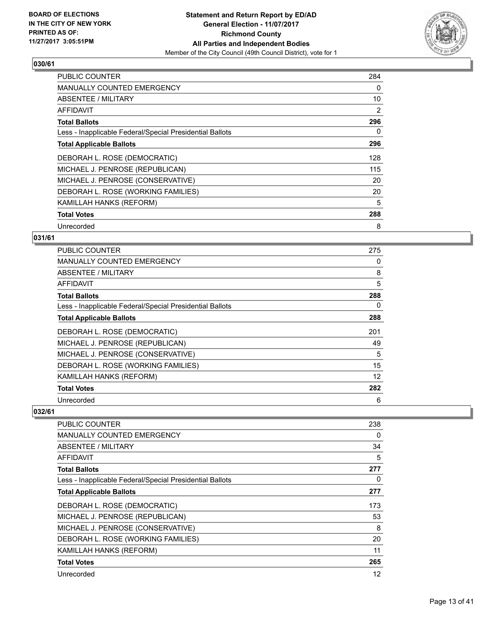

| <b>PUBLIC COUNTER</b>                                    | 284 |
|----------------------------------------------------------|-----|
| <b>MANUALLY COUNTED EMERGENCY</b>                        | 0   |
| ABSENTEE / MILITARY                                      | 10  |
| AFFIDAVIT                                                | 2   |
| <b>Total Ballots</b>                                     | 296 |
| Less - Inapplicable Federal/Special Presidential Ballots | 0   |
| <b>Total Applicable Ballots</b>                          | 296 |
| DEBORAH L. ROSE (DEMOCRATIC)                             | 128 |
| MICHAEL J. PENROSE (REPUBLICAN)                          | 115 |
| MICHAEL J. PENROSE (CONSERVATIVE)                        | 20  |
| DEBORAH L. ROSE (WORKING FAMILIES)                       | 20  |
| KAMILLAH HANKS (REFORM)                                  | 5   |
| <b>Total Votes</b>                                       | 288 |
| Unrecorded                                               | 8   |

## **031/61**

| <b>PUBLIC COUNTER</b>                                    | 275 |
|----------------------------------------------------------|-----|
| <b>MANUALLY COUNTED EMERGENCY</b>                        | 0   |
| ABSENTEE / MILITARY                                      | 8   |
| AFFIDAVIT                                                | 5   |
| <b>Total Ballots</b>                                     | 288 |
| Less - Inapplicable Federal/Special Presidential Ballots | 0   |
| <b>Total Applicable Ballots</b>                          | 288 |
| DEBORAH L. ROSE (DEMOCRATIC)                             | 201 |
| MICHAEL J. PENROSE (REPUBLICAN)                          | 49  |
| MICHAEL J. PENROSE (CONSERVATIVE)                        | 5   |
| DEBORAH L. ROSE (WORKING FAMILIES)                       | 15  |
| KAMILLAH HANKS (REFORM)                                  | 12  |
| <b>Total Votes</b>                                       | 282 |
| Unrecorded                                               | 6   |

| PUBLIC COUNTER                                           | 238 |
|----------------------------------------------------------|-----|
| <b>MANUALLY COUNTED EMERGENCY</b>                        | 0   |
| ABSENTEE / MILITARY                                      | 34  |
| AFFIDAVIT                                                | 5   |
| <b>Total Ballots</b>                                     | 277 |
| Less - Inapplicable Federal/Special Presidential Ballots | 0   |
| <b>Total Applicable Ballots</b>                          | 277 |
| DEBORAH L. ROSE (DEMOCRATIC)                             | 173 |
| MICHAEL J. PENROSE (REPUBLICAN)                          | 53  |
| MICHAEL J. PENROSE (CONSERVATIVE)                        | 8   |
| DEBORAH L. ROSE (WORKING FAMILIES)                       | 20  |
| KAMILLAH HANKS (REFORM)                                  | 11  |
| <b>Total Votes</b>                                       | 265 |
| Unrecorded                                               | 12  |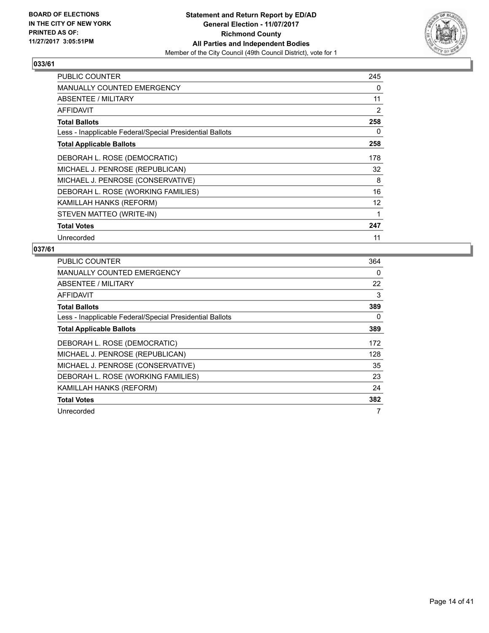

| <b>PUBLIC COUNTER</b>                                    | 245 |
|----------------------------------------------------------|-----|
| <b>MANUALLY COUNTED EMERGENCY</b>                        | 0   |
| ABSENTEE / MILITARY                                      | 11  |
| <b>AFFIDAVIT</b>                                         | 2   |
| <b>Total Ballots</b>                                     | 258 |
| Less - Inapplicable Federal/Special Presidential Ballots | 0   |
| <b>Total Applicable Ballots</b>                          | 258 |
| DEBORAH L. ROSE (DEMOCRATIC)                             | 178 |
| MICHAEL J. PENROSE (REPUBLICAN)                          | 32  |
| MICHAEL J. PENROSE (CONSERVATIVE)                        | 8   |
| DEBORAH L. ROSE (WORKING FAMILIES)                       | 16  |
| KAMILLAH HANKS (REFORM)                                  | 12  |
| STEVEN MATTEO (WRITE-IN)                                 | 1   |
| <b>Total Votes</b>                                       | 247 |
| Unrecorded                                               | 11  |

| <b>PUBLIC COUNTER</b>                                    | 364 |
|----------------------------------------------------------|-----|
| <b>MANUALLY COUNTED EMERGENCY</b>                        | 0   |
| ABSENTEE / MILITARY                                      | 22  |
| AFFIDAVIT                                                | 3   |
| <b>Total Ballots</b>                                     | 389 |
| Less - Inapplicable Federal/Special Presidential Ballots | 0   |
| <b>Total Applicable Ballots</b>                          | 389 |
| DEBORAH L. ROSE (DEMOCRATIC)                             | 172 |
| MICHAEL J. PENROSE (REPUBLICAN)                          | 128 |
| MICHAEL J. PENROSE (CONSERVATIVE)                        | 35  |
| DEBORAH L. ROSE (WORKING FAMILIES)                       | 23  |
| KAMILLAH HANKS (REFORM)                                  | 24  |
| <b>Total Votes</b>                                       | 382 |
| Unrecorded                                               | 7   |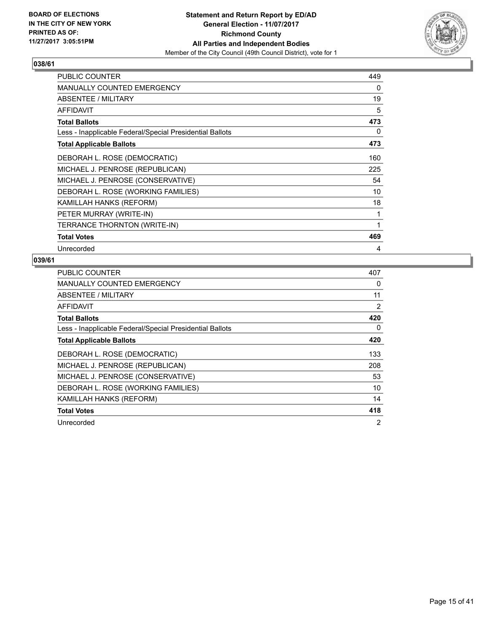

| <b>PUBLIC COUNTER</b>                                    | 449 |
|----------------------------------------------------------|-----|
| <b>MANUALLY COUNTED EMERGENCY</b>                        | 0   |
| ABSENTEE / MILITARY                                      | 19  |
| AFFIDAVIT                                                | 5   |
| <b>Total Ballots</b>                                     | 473 |
| Less - Inapplicable Federal/Special Presidential Ballots | 0   |
| <b>Total Applicable Ballots</b>                          | 473 |
| DEBORAH L. ROSE (DEMOCRATIC)                             | 160 |
| MICHAEL J. PENROSE (REPUBLICAN)                          | 225 |
| MICHAEL J. PENROSE (CONSERVATIVE)                        | 54  |
| DEBORAH L. ROSE (WORKING FAMILIES)                       | 10  |
| KAMILLAH HANKS (REFORM)                                  | 18  |
| PETER MURRAY (WRITE-IN)                                  | 1   |
| TERRANCE THORNTON (WRITE-IN)                             | 1   |
| <b>Total Votes</b>                                       | 469 |
| Unrecorded                                               | 4   |

| <b>PUBLIC COUNTER</b>                                    | 407 |
|----------------------------------------------------------|-----|
| <b>MANUALLY COUNTED EMERGENCY</b>                        | 0   |
| ABSENTEE / MILITARY                                      | 11  |
| AFFIDAVIT                                                | 2   |
| <b>Total Ballots</b>                                     | 420 |
| Less - Inapplicable Federal/Special Presidential Ballots | 0   |
| <b>Total Applicable Ballots</b>                          | 420 |
| DEBORAH L. ROSE (DEMOCRATIC)                             | 133 |
| MICHAEL J. PENROSE (REPUBLICAN)                          | 208 |
| MICHAEL J. PENROSE (CONSERVATIVE)                        | 53  |
| DEBORAH L. ROSE (WORKING FAMILIES)                       | 10  |
| KAMILLAH HANKS (REFORM)                                  | 14  |
| <b>Total Votes</b>                                       | 418 |
| Unrecorded                                               | 2   |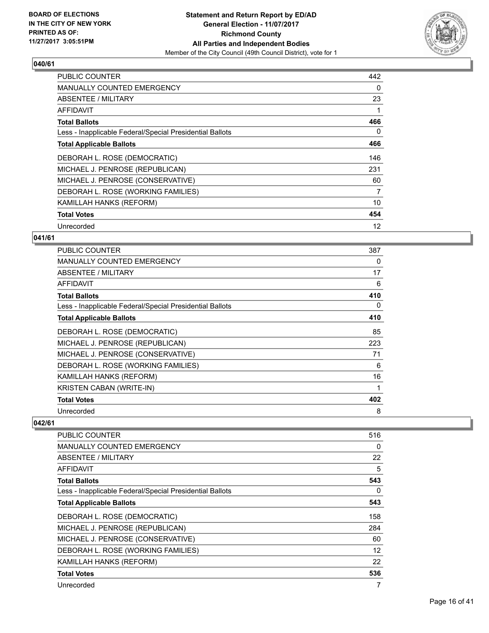

| <b>PUBLIC COUNTER</b>                                    | 442 |
|----------------------------------------------------------|-----|
| <b>MANUALLY COUNTED EMERGENCY</b>                        | 0   |
| <b>ABSENTEE / MILITARY</b>                               | 23  |
| AFFIDAVIT                                                |     |
| <b>Total Ballots</b>                                     | 466 |
| Less - Inapplicable Federal/Special Presidential Ballots | 0   |
| <b>Total Applicable Ballots</b>                          | 466 |
| DEBORAH L. ROSE (DEMOCRATIC)                             | 146 |
| MICHAEL J. PENROSE (REPUBLICAN)                          | 231 |
| MICHAEL J. PENROSE (CONSERVATIVE)                        | 60  |
| DEBORAH L. ROSE (WORKING FAMILIES)                       | 7   |
| KAMILLAH HANKS (REFORM)                                  | 10  |
| <b>Total Votes</b>                                       | 454 |
| Unrecorded                                               | 12  |

## **041/61**

| <b>PUBLIC COUNTER</b>                                    | 387 |
|----------------------------------------------------------|-----|
| <b>MANUALLY COUNTED EMERGENCY</b>                        | 0   |
| ABSENTEE / MILITARY                                      | 17  |
| AFFIDAVIT                                                | 6   |
| <b>Total Ballots</b>                                     | 410 |
| Less - Inapplicable Federal/Special Presidential Ballots | 0   |
| <b>Total Applicable Ballots</b>                          | 410 |
| DEBORAH L. ROSE (DEMOCRATIC)                             | 85  |
| MICHAEL J. PENROSE (REPUBLICAN)                          | 223 |
| MICHAEL J. PENROSE (CONSERVATIVE)                        | 71  |
| DEBORAH L. ROSE (WORKING FAMILIES)                       | 6   |
| KAMILLAH HANKS (REFORM)                                  | 16  |
| <b>KRISTEN CABAN (WRITE-IN)</b>                          |     |
| <b>Total Votes</b>                                       | 402 |
| Unrecorded                                               | 8   |

| <b>PUBLIC COUNTER</b>                                    | 516 |
|----------------------------------------------------------|-----|
| <b>MANUALLY COUNTED EMERGENCY</b>                        | 0   |
| ABSENTEE / MILITARY                                      | 22  |
| AFFIDAVIT                                                | 5   |
| <b>Total Ballots</b>                                     | 543 |
| Less - Inapplicable Federal/Special Presidential Ballots | 0   |
| <b>Total Applicable Ballots</b>                          | 543 |
| DEBORAH L. ROSE (DEMOCRATIC)                             | 158 |
| MICHAEL J. PENROSE (REPUBLICAN)                          | 284 |
| MICHAEL J. PENROSE (CONSERVATIVE)                        | 60  |
| DEBORAH L. ROSE (WORKING FAMILIES)                       | 12  |
| KAMILLAH HANKS (REFORM)                                  | 22  |
| <b>Total Votes</b>                                       | 536 |
| Unrecorded                                               | 7   |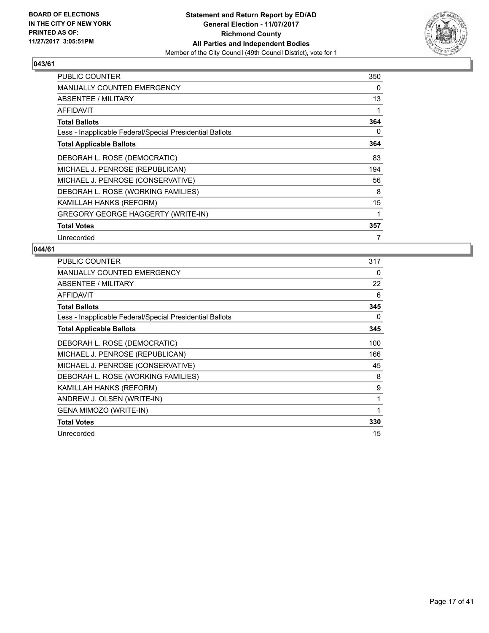

| <b>PUBLIC COUNTER</b>                                    | 350 |
|----------------------------------------------------------|-----|
| <b>MANUALLY COUNTED EMERGENCY</b>                        | 0   |
| ABSENTEE / MILITARY                                      | 13  |
| AFFIDAVIT                                                |     |
| <b>Total Ballots</b>                                     | 364 |
| Less - Inapplicable Federal/Special Presidential Ballots | 0   |
| <b>Total Applicable Ballots</b>                          | 364 |
| DEBORAH L. ROSE (DEMOCRATIC)                             | 83  |
| MICHAEL J. PENROSE (REPUBLICAN)                          | 194 |
| MICHAEL J. PENROSE (CONSERVATIVE)                        | 56  |
| DEBORAH L. ROSE (WORKING FAMILIES)                       | 8   |
| KAMILLAH HANKS (REFORM)                                  | 15  |
| <b>GREGORY GEORGE HAGGERTY (WRITE-IN)</b>                | 1   |
| <b>Total Votes</b>                                       | 357 |
| Unrecorded                                               | 7   |

| <b>PUBLIC COUNTER</b>                                    | 317 |
|----------------------------------------------------------|-----|
| MANUALLY COUNTED EMERGENCY                               | 0   |
| ABSENTEE / MILITARY                                      | 22  |
| <b>AFFIDAVIT</b>                                         | 6   |
| <b>Total Ballots</b>                                     | 345 |
| Less - Inapplicable Federal/Special Presidential Ballots | 0   |
| <b>Total Applicable Ballots</b>                          | 345 |
| DEBORAH L. ROSE (DEMOCRATIC)                             | 100 |
| MICHAEL J. PENROSE (REPUBLICAN)                          | 166 |
| MICHAEL J. PENROSE (CONSERVATIVE)                        | 45  |
| DEBORAH L. ROSE (WORKING FAMILIES)                       | 8   |
| KAMILLAH HANKS (REFORM)                                  | 9   |
| ANDREW J. OLSEN (WRITE-IN)                               | 1   |
| GENA MIMOZO (WRITE-IN)                                   | 1   |
| <b>Total Votes</b>                                       | 330 |
| Unrecorded                                               | 15  |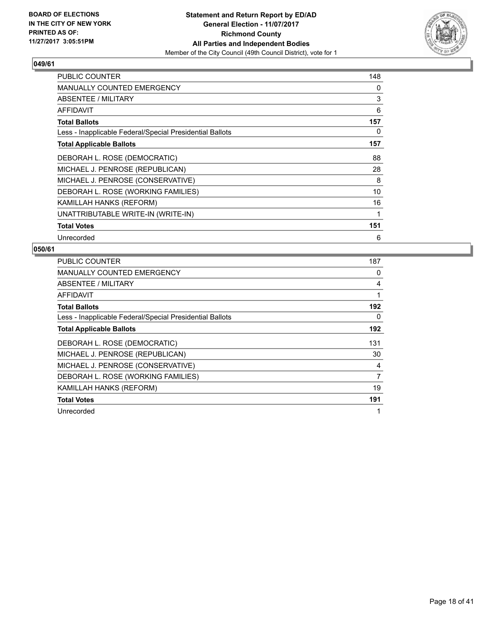

| PUBLIC COUNTER                                           | 148 |
|----------------------------------------------------------|-----|
| MANUALLY COUNTED EMERGENCY                               | 0   |
| ABSENTEE / MILITARY                                      | 3   |
| <b>AFFIDAVIT</b>                                         | 6   |
| <b>Total Ballots</b>                                     | 157 |
| Less - Inapplicable Federal/Special Presidential Ballots | 0   |
| <b>Total Applicable Ballots</b>                          | 157 |
| DEBORAH L. ROSE (DEMOCRATIC)                             | 88  |
| MICHAEL J. PENROSE (REPUBLICAN)                          | 28  |
| MICHAEL J. PENROSE (CONSERVATIVE)                        | 8   |
| DEBORAH L. ROSE (WORKING FAMILIES)                       | 10  |
| KAMILLAH HANKS (REFORM)                                  | 16  |
| UNATTRIBUTABLE WRITE-IN (WRITE-IN)                       | 1   |
| <b>Total Votes</b>                                       | 151 |
| Unrecorded                                               | 6   |

| <b>PUBLIC COUNTER</b>                                    | 187            |
|----------------------------------------------------------|----------------|
| <b>MANUALLY COUNTED EMERGENCY</b>                        | 0              |
| <b>ABSENTEE / MILITARY</b>                               | 4              |
| AFFIDAVIT                                                |                |
| <b>Total Ballots</b>                                     | 192            |
| Less - Inapplicable Federal/Special Presidential Ballots | 0              |
| <b>Total Applicable Ballots</b>                          | 192            |
| DEBORAH L. ROSE (DEMOCRATIC)                             | 131            |
| MICHAEL J. PENROSE (REPUBLICAN)                          | 30             |
| MICHAEL J. PENROSE (CONSERVATIVE)                        | 4              |
| DEBORAH L. ROSE (WORKING FAMILIES)                       | $\overline{7}$ |
| KAMILLAH HANKS (REFORM)                                  | 19             |
| <b>Total Votes</b>                                       | 191            |
| Unrecorded                                               |                |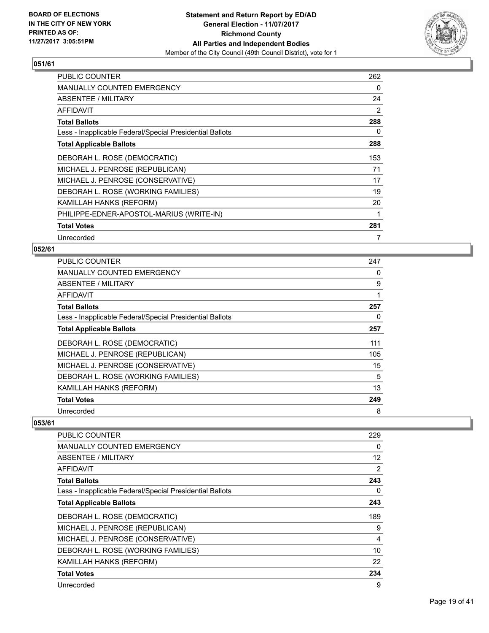

| PUBLIC COUNTER                                           | 262 |
|----------------------------------------------------------|-----|
| <b>MANUALLY COUNTED EMERGENCY</b>                        | 0   |
| ABSENTEE / MILITARY                                      | 24  |
| AFFIDAVIT                                                | 2   |
| <b>Total Ballots</b>                                     | 288 |
| Less - Inapplicable Federal/Special Presidential Ballots | 0   |
| <b>Total Applicable Ballots</b>                          | 288 |
| DEBORAH L. ROSE (DEMOCRATIC)                             | 153 |
| MICHAEL J. PENROSE (REPUBLICAN)                          | 71  |
| MICHAEL J. PENROSE (CONSERVATIVE)                        | 17  |
| DEBORAH L. ROSE (WORKING FAMILIES)                       | 19  |
| KAMILLAH HANKS (REFORM)                                  | 20  |
| PHILIPPE-EDNER-APOSTOL-MARIUS (WRITE-IN)                 | 1   |
| <b>Total Votes</b>                                       | 281 |
| Unrecorded                                               | 7   |

## **052/61**

| <b>PUBLIC COUNTER</b>                                    | 247 |
|----------------------------------------------------------|-----|
| <b>MANUALLY COUNTED EMERGENCY</b>                        | 0   |
| ABSENTEE / MILITARY                                      | 9   |
| AFFIDAVIT                                                | 1   |
| <b>Total Ballots</b>                                     | 257 |
| Less - Inapplicable Federal/Special Presidential Ballots | 0   |
| <b>Total Applicable Ballots</b>                          | 257 |
| DEBORAH L. ROSE (DEMOCRATIC)                             | 111 |
| MICHAEL J. PENROSE (REPUBLICAN)                          | 105 |
| MICHAEL J. PENROSE (CONSERVATIVE)                        | 15  |
| DEBORAH L. ROSE (WORKING FAMILIES)                       | 5   |
| KAMILLAH HANKS (REFORM)                                  | 13  |
| <b>Total Votes</b>                                       | 249 |
| Unrecorded                                               | 8   |

| PUBLIC COUNTER                                           | 229               |
|----------------------------------------------------------|-------------------|
| <b>MANUALLY COUNTED EMERGENCY</b>                        | 0                 |
| ABSENTEE / MILITARY                                      | $12 \overline{ }$ |
| AFFIDAVIT                                                | $\overline{2}$    |
| <b>Total Ballots</b>                                     | 243               |
| Less - Inapplicable Federal/Special Presidential Ballots | 0                 |
| <b>Total Applicable Ballots</b>                          | 243               |
| DEBORAH L. ROSE (DEMOCRATIC)                             | 189               |
| MICHAEL J. PENROSE (REPUBLICAN)                          | 9                 |
| MICHAEL J. PENROSE (CONSERVATIVE)                        | 4                 |
| DEBORAH L. ROSE (WORKING FAMILIES)                       | 10                |
| KAMILLAH HANKS (REFORM)                                  | 22                |
| <b>Total Votes</b>                                       | 234               |
| Unrecorded                                               | 9                 |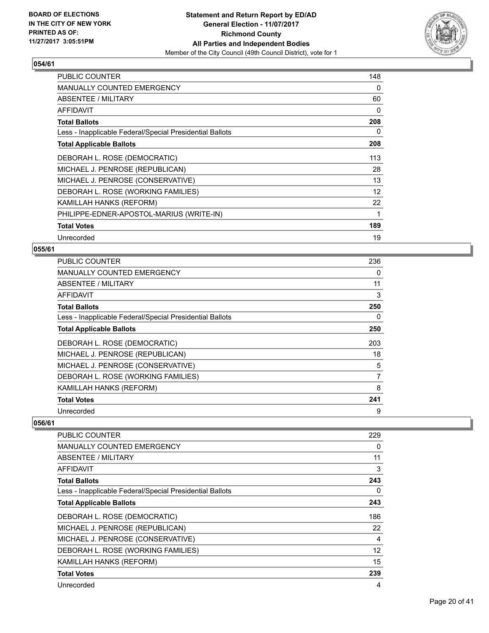

| <b>PUBLIC COUNTER</b>                                    | 148 |
|----------------------------------------------------------|-----|
| <b>MANUALLY COUNTED EMERGENCY</b>                        | 0   |
| ABSENTEE / MILITARY                                      | 60  |
| <b>AFFIDAVIT</b>                                         | 0   |
| <b>Total Ballots</b>                                     | 208 |
| Less - Inapplicable Federal/Special Presidential Ballots | 0   |
| <b>Total Applicable Ballots</b>                          | 208 |
| DEBORAH L. ROSE (DEMOCRATIC)                             | 113 |
| MICHAEL J. PENROSE (REPUBLICAN)                          | 28  |
| MICHAEL J. PENROSE (CONSERVATIVE)                        | 13  |
| DEBORAH L. ROSE (WORKING FAMILIES)                       | 12  |
| KAMILLAH HANKS (REFORM)                                  | 22  |
| PHILIPPE-EDNER-APOSTOL-MARIUS (WRITE-IN)                 | 1   |
| <b>Total Votes</b>                                       | 189 |
| Unrecorded                                               | 19  |

## **055/61**

| <b>PUBLIC COUNTER</b>                                    | 236 |
|----------------------------------------------------------|-----|
| <b>MANUALLY COUNTED EMERGENCY</b>                        | 0   |
| ABSENTEE / MILITARY                                      | 11  |
| AFFIDAVIT                                                | 3   |
| <b>Total Ballots</b>                                     | 250 |
| Less - Inapplicable Federal/Special Presidential Ballots | 0   |
| <b>Total Applicable Ballots</b>                          | 250 |
| DEBORAH L. ROSE (DEMOCRATIC)                             | 203 |
| MICHAEL J. PENROSE (REPUBLICAN)                          | 18  |
| MICHAEL J. PENROSE (CONSERVATIVE)                        | 5   |
| DEBORAH L. ROSE (WORKING FAMILIES)                       | 7   |
| KAMILLAH HANKS (REFORM)                                  | 8   |
| <b>Total Votes</b>                                       | 241 |
| Unrecorded                                               | 9   |

| PUBLIC COUNTER                                           | 229 |
|----------------------------------------------------------|-----|
| <b>MANUALLY COUNTED EMERGENCY</b>                        | 0   |
| ABSENTEE / MILITARY                                      | 11  |
| AFFIDAVIT                                                | 3   |
| <b>Total Ballots</b>                                     | 243 |
| Less - Inapplicable Federal/Special Presidential Ballots | 0   |
| <b>Total Applicable Ballots</b>                          | 243 |
| DEBORAH L. ROSE (DEMOCRATIC)                             | 186 |
| MICHAEL J. PENROSE (REPUBLICAN)                          | 22  |
| MICHAEL J. PENROSE (CONSERVATIVE)                        | 4   |
| DEBORAH L. ROSE (WORKING FAMILIES)                       | 12  |
| KAMILLAH HANKS (REFORM)                                  | 15  |
| <b>Total Votes</b>                                       | 239 |
| Unrecorded                                               | 4   |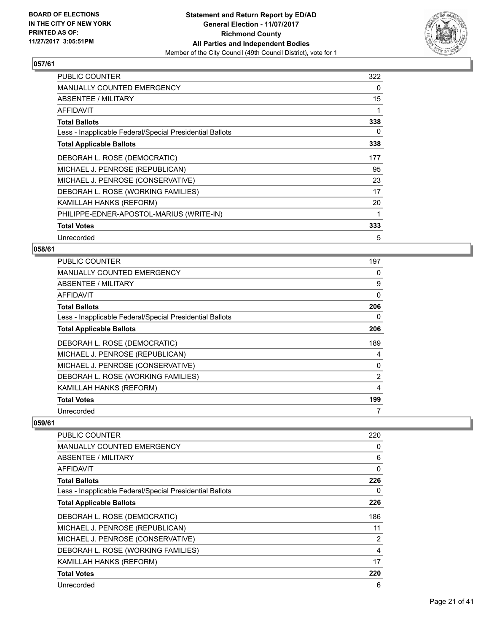

| <b>PUBLIC COUNTER</b>                                    | 322 |
|----------------------------------------------------------|-----|
| <b>MANUALLY COUNTED EMERGENCY</b>                        | 0   |
| ABSENTEE / MILITARY                                      | 15  |
| <b>AFFIDAVIT</b>                                         |     |
| <b>Total Ballots</b>                                     | 338 |
| Less - Inapplicable Federal/Special Presidential Ballots | 0   |
| <b>Total Applicable Ballots</b>                          | 338 |
| DEBORAH L. ROSE (DEMOCRATIC)                             | 177 |
| MICHAEL J. PENROSE (REPUBLICAN)                          | 95  |
| MICHAEL J. PENROSE (CONSERVATIVE)                        | 23  |
| DEBORAH L. ROSE (WORKING FAMILIES)                       | 17  |
| KAMILLAH HANKS (REFORM)                                  | 20  |
| PHILIPPE-EDNER-APOSTOL-MARIUS (WRITE-IN)                 |     |
| <b>Total Votes</b>                                       | 333 |
| Unrecorded                                               | 5   |

## **058/61**

| <b>PUBLIC COUNTER</b>                                    | 197 |
|----------------------------------------------------------|-----|
| <b>MANUALLY COUNTED EMERGENCY</b>                        | 0   |
| ABSENTEE / MILITARY                                      | 9   |
| AFFIDAVIT                                                | 0   |
| <b>Total Ballots</b>                                     | 206 |
| Less - Inapplicable Federal/Special Presidential Ballots | 0   |
| <b>Total Applicable Ballots</b>                          | 206 |
| DEBORAH L. ROSE (DEMOCRATIC)                             | 189 |
| MICHAEL J. PENROSE (REPUBLICAN)                          | 4   |
| MICHAEL J. PENROSE (CONSERVATIVE)                        | 0   |
| DEBORAH L. ROSE (WORKING FAMILIES)                       | 2   |
| KAMILLAH HANKS (REFORM)                                  | 4   |
| <b>Total Votes</b>                                       | 199 |
| Unrecorded                                               | 7   |

| PUBLIC COUNTER                                           | 220      |
|----------------------------------------------------------|----------|
| <b>MANUALLY COUNTED EMERGENCY</b>                        | 0        |
| ABSENTEE / MILITARY                                      | 6        |
| AFFIDAVIT                                                | $\Omega$ |
| <b>Total Ballots</b>                                     | 226      |
| Less - Inapplicable Federal/Special Presidential Ballots | 0        |
| <b>Total Applicable Ballots</b>                          | 226      |
| DEBORAH L. ROSE (DEMOCRATIC)                             | 186      |
| MICHAEL J. PENROSE (REPUBLICAN)                          | 11       |
| MICHAEL J. PENROSE (CONSERVATIVE)                        | 2        |
| DEBORAH L. ROSE (WORKING FAMILIES)                       | 4        |
| <b>KAMILLAH HANKS (REFORM)</b>                           | 17       |
| <b>Total Votes</b>                                       | 220      |
| Unrecorded                                               | 6        |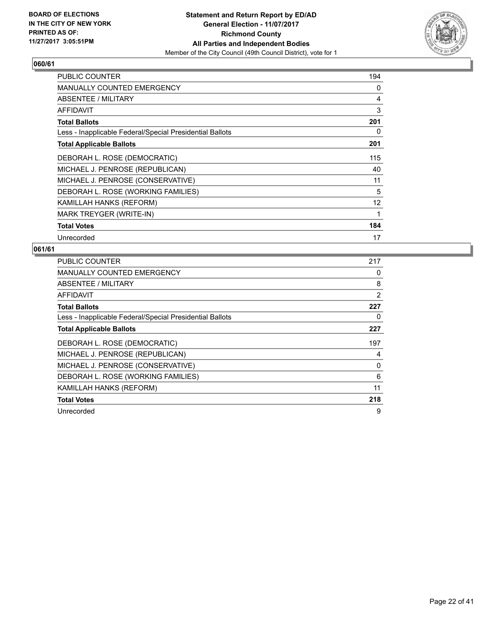

| <b>PUBLIC COUNTER</b>                                    | 194 |
|----------------------------------------------------------|-----|
| <b>MANUALLY COUNTED EMERGENCY</b>                        | 0   |
| ABSENTEE / MILITARY                                      | 4   |
| <b>AFFIDAVIT</b>                                         | 3   |
| <b>Total Ballots</b>                                     | 201 |
| Less - Inapplicable Federal/Special Presidential Ballots | 0   |
| <b>Total Applicable Ballots</b>                          | 201 |
| DEBORAH L. ROSE (DEMOCRATIC)                             | 115 |
| MICHAEL J. PENROSE (REPUBLICAN)                          | 40  |
| MICHAEL J. PENROSE (CONSERVATIVE)                        | 11  |
| DEBORAH L. ROSE (WORKING FAMILIES)                       | 5   |
| KAMILLAH HANKS (REFORM)                                  | 12  |
| MARK TREYGER (WRITE-IN)                                  | 1   |
| <b>Total Votes</b>                                       | 184 |
| Unrecorded                                               | 17  |

| <b>PUBLIC COUNTER</b>                                    | 217 |
|----------------------------------------------------------|-----|
| <b>MANUALLY COUNTED EMERGENCY</b>                        | 0   |
| <b>ABSENTEE / MILITARY</b>                               | 8   |
| AFFIDAVIT                                                | 2   |
| <b>Total Ballots</b>                                     | 227 |
| Less - Inapplicable Federal/Special Presidential Ballots | 0   |
| <b>Total Applicable Ballots</b>                          | 227 |
|                                                          |     |
| DEBORAH L. ROSE (DEMOCRATIC)                             | 197 |
| MICHAEL J. PENROSE (REPUBLICAN)                          | 4   |
| MICHAEL J. PENROSE (CONSERVATIVE)                        | 0   |
| DEBORAH L. ROSE (WORKING FAMILIES)                       | 6   |
| KAMILLAH HANKS (REFORM)                                  | 11  |
| <b>Total Votes</b>                                       | 218 |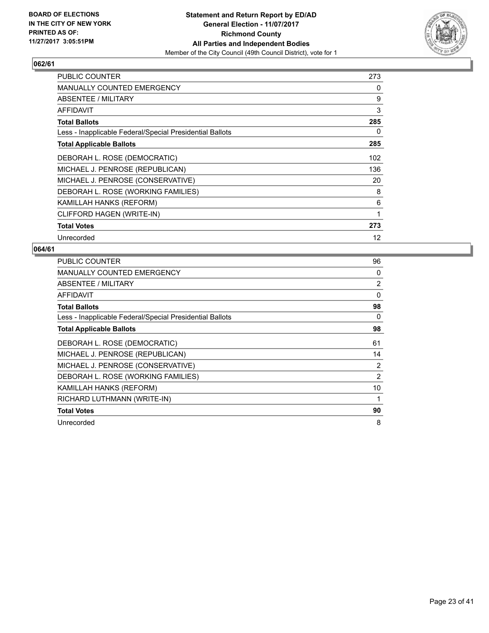

| PUBLIC COUNTER                                           | 273 |
|----------------------------------------------------------|-----|
| MANUALLY COUNTED EMERGENCY                               | 0   |
| ABSENTEE / MILITARY                                      | 9   |
| <b>AFFIDAVIT</b>                                         | 3   |
| <b>Total Ballots</b>                                     | 285 |
| Less - Inapplicable Federal/Special Presidential Ballots | 0   |
| <b>Total Applicable Ballots</b>                          | 285 |
| DEBORAH L. ROSE (DEMOCRATIC)                             | 102 |
| MICHAEL J. PENROSE (REPUBLICAN)                          | 136 |
| MICHAEL J. PENROSE (CONSERVATIVE)                        | 20  |
| DEBORAH L. ROSE (WORKING FAMILIES)                       | 8   |
| KAMILLAH HANKS (REFORM)                                  | 6   |
| CLIFFORD HAGEN (WRITE-IN)                                | 1   |
| <b>Total Votes</b>                                       | 273 |
| Unrecorded                                               | 12  |

| <b>PUBLIC COUNTER</b>                                    | 96             |
|----------------------------------------------------------|----------------|
| <b>MANUALLY COUNTED EMERGENCY</b>                        | 0              |
| ABSENTEE / MILITARY                                      | $\overline{2}$ |
| AFFIDAVIT                                                | $\Omega$       |
| <b>Total Ballots</b>                                     | 98             |
| Less - Inapplicable Federal/Special Presidential Ballots | 0              |
| <b>Total Applicable Ballots</b>                          | 98             |
| DEBORAH L. ROSE (DEMOCRATIC)                             | 61             |
| MICHAEL J. PENROSE (REPUBLICAN)                          | 14             |
| MICHAEL J. PENROSE (CONSERVATIVE)                        | 2              |
| DEBORAH L. ROSE (WORKING FAMILIES)                       | 2              |
| KAMILLAH HANKS (REFORM)                                  | 10             |
| RICHARD LUTHMANN (WRITE-IN)                              | 1              |
| <b>Total Votes</b>                                       | 90             |
| Unrecorded                                               | 8              |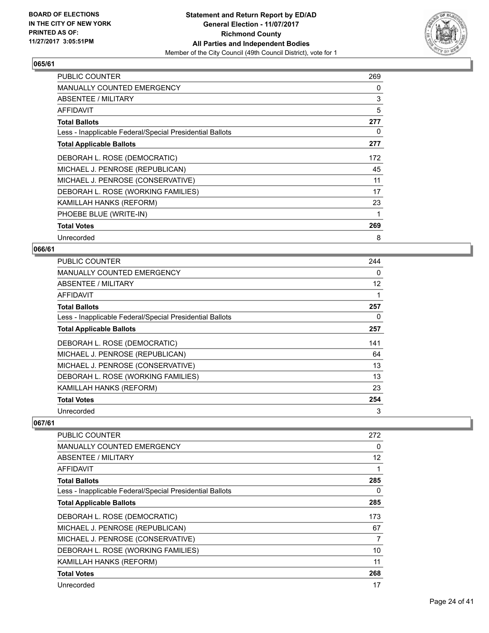

| <b>PUBLIC COUNTER</b>                                    | 269 |
|----------------------------------------------------------|-----|
| <b>MANUALLY COUNTED EMERGENCY</b>                        | 0   |
| ABSENTEE / MILITARY                                      | 3   |
| AFFIDAVIT                                                | 5   |
| <b>Total Ballots</b>                                     | 277 |
| Less - Inapplicable Federal/Special Presidential Ballots | 0   |
| <b>Total Applicable Ballots</b>                          | 277 |
| DEBORAH L. ROSE (DEMOCRATIC)                             | 172 |
| MICHAEL J. PENROSE (REPUBLICAN)                          | 45  |
| MICHAEL J. PENROSE (CONSERVATIVE)                        | 11  |
| DEBORAH L. ROSE (WORKING FAMILIES)                       | 17  |
| KAMILLAH HANKS (REFORM)                                  | 23  |
| PHOEBE BLUE (WRITE-IN)                                   |     |
| <b>Total Votes</b>                                       | 269 |
| Unrecorded                                               | 8   |

## **066/61**

| <b>PUBLIC COUNTER</b>                                    | 244               |
|----------------------------------------------------------|-------------------|
| <b>MANUALLY COUNTED EMERGENCY</b>                        | 0                 |
| ABSENTEE / MILITARY                                      | $12 \overline{ }$ |
| AFFIDAVIT                                                |                   |
| <b>Total Ballots</b>                                     | 257               |
| Less - Inapplicable Federal/Special Presidential Ballots | 0                 |
| <b>Total Applicable Ballots</b>                          | 257               |
| DEBORAH L. ROSE (DEMOCRATIC)                             | 141               |
| MICHAEL J. PENROSE (REPUBLICAN)                          | 64                |
| MICHAEL J. PENROSE (CONSERVATIVE)                        | 13                |
| DEBORAH L. ROSE (WORKING FAMILIES)                       | 13                |
| KAMILLAH HANKS (REFORM)                                  | 23                |
| <b>Total Votes</b>                                       | 254               |
| Unrecorded                                               | 3                 |

| PUBLIC COUNTER                                           | 272 |
|----------------------------------------------------------|-----|
| <b>MANUALLY COUNTED EMERGENCY</b>                        | 0   |
| ABSENTEE / MILITARY                                      | 12  |
| AFFIDAVIT                                                | 1   |
| <b>Total Ballots</b>                                     | 285 |
| Less - Inapplicable Federal/Special Presidential Ballots | 0   |
| <b>Total Applicable Ballots</b>                          | 285 |
| DEBORAH L. ROSE (DEMOCRATIC)                             | 173 |
| MICHAEL J. PENROSE (REPUBLICAN)                          | 67  |
| MICHAEL J. PENROSE (CONSERVATIVE)                        | 7   |
| DEBORAH L. ROSE (WORKING FAMILIES)                       | 10  |
| KAMILLAH HANKS (REFORM)                                  | 11  |
| <b>Total Votes</b>                                       | 268 |
| Unrecorded                                               | 17  |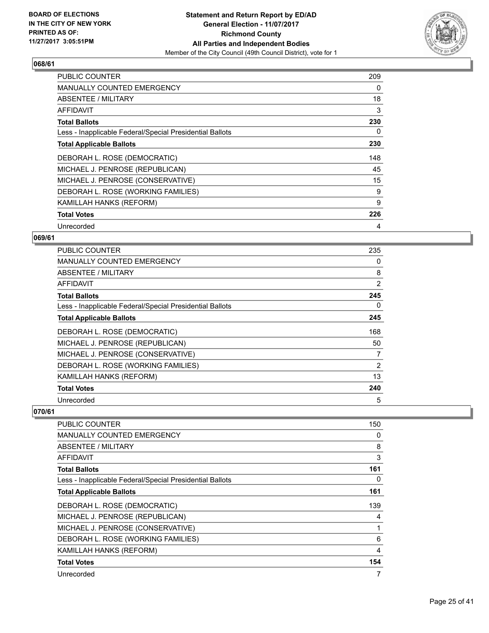

| <b>PUBLIC COUNTER</b>                                    | 209 |
|----------------------------------------------------------|-----|
| <b>MANUALLY COUNTED EMERGENCY</b>                        | 0   |
| <b>ABSENTEE / MILITARY</b>                               | 18  |
| AFFIDAVIT                                                | 3   |
| <b>Total Ballots</b>                                     | 230 |
| Less - Inapplicable Federal/Special Presidential Ballots | 0   |
| <b>Total Applicable Ballots</b>                          | 230 |
| DEBORAH L. ROSE (DEMOCRATIC)                             | 148 |
| MICHAEL J. PENROSE (REPUBLICAN)                          | 45  |
| MICHAEL J. PENROSE (CONSERVATIVE)                        | 15  |
| DEBORAH L. ROSE (WORKING FAMILIES)                       | 9   |
| KAMILLAH HANKS (REFORM)                                  | 9   |
| <b>Total Votes</b>                                       | 226 |
| Unrecorded                                               | 4   |

## **069/61**

| <b>PUBLIC COUNTER</b>                                    | 235 |
|----------------------------------------------------------|-----|
| MANUALLY COUNTED EMERGENCY                               | 0   |
| ABSENTEE / MILITARY                                      | 8   |
| AFFIDAVIT                                                | 2   |
| <b>Total Ballots</b>                                     | 245 |
| Less - Inapplicable Federal/Special Presidential Ballots | 0   |
| <b>Total Applicable Ballots</b>                          | 245 |
| DEBORAH L. ROSE (DEMOCRATIC)                             | 168 |
| MICHAEL J. PENROSE (REPUBLICAN)                          | 50  |
| MICHAEL J. PENROSE (CONSERVATIVE)                        | 7   |
| DEBORAH L. ROSE (WORKING FAMILIES)                       | 2   |
| KAMILLAH HANKS (REFORM)                                  | 13  |
| <b>Total Votes</b>                                       | 240 |
| Unrecorded                                               | 5   |

| <b>PUBLIC COUNTER</b>                                    | 150 |
|----------------------------------------------------------|-----|
| <b>MANUALLY COUNTED EMERGENCY</b>                        | 0   |
| ABSENTEE / MILITARY                                      | 8   |
| AFFIDAVIT                                                | 3   |
| <b>Total Ballots</b>                                     | 161 |
| Less - Inapplicable Federal/Special Presidential Ballots | 0   |
| <b>Total Applicable Ballots</b>                          | 161 |
| DEBORAH L. ROSE (DEMOCRATIC)                             | 139 |
| MICHAEL J. PENROSE (REPUBLICAN)                          | 4   |
| MICHAEL J. PENROSE (CONSERVATIVE)                        |     |
| DEBORAH L. ROSE (WORKING FAMILIES)                       | 6   |
| KAMILLAH HANKS (REFORM)                                  | 4   |
| <b>Total Votes</b>                                       | 154 |
| Unrecorded                                               | 7   |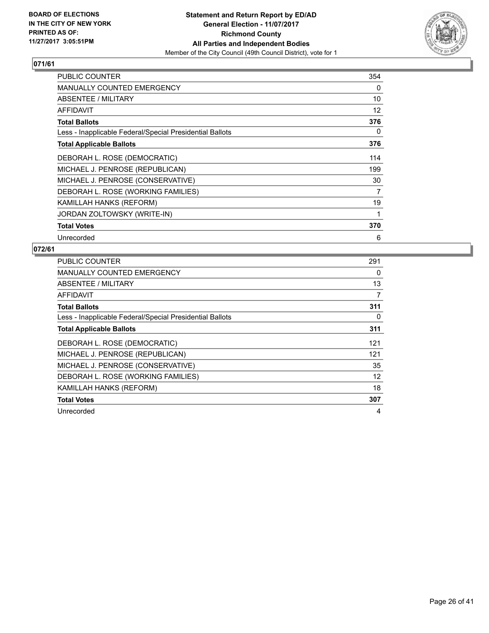

| <b>PUBLIC COUNTER</b>                                    | 354 |
|----------------------------------------------------------|-----|
| <b>MANUALLY COUNTED EMERGENCY</b>                        | 0   |
| <b>ABSENTEE / MILITARY</b>                               | 10  |
| AFFIDAVIT                                                | 12  |
| <b>Total Ballots</b>                                     | 376 |
| Less - Inapplicable Federal/Special Presidential Ballots | 0   |
| <b>Total Applicable Ballots</b>                          | 376 |
| DEBORAH L. ROSE (DEMOCRATIC)                             | 114 |
| MICHAEL J. PENROSE (REPUBLICAN)                          | 199 |
| MICHAEL J. PENROSE (CONSERVATIVE)                        | 30  |
| DEBORAH L. ROSE (WORKING FAMILIES)                       | 7   |
| KAMILLAH HANKS (REFORM)                                  | 19  |
| JORDAN ZOLTOWSKY (WRITE-IN)                              | 1   |
| <b>Total Votes</b>                                       | 370 |
| Unrecorded                                               | 6   |

| <b>PUBLIC COUNTER</b>                                    | 291 |
|----------------------------------------------------------|-----|
| <b>MANUALLY COUNTED EMERGENCY</b>                        | 0   |
| ABSENTEE / MILITARY                                      | 13  |
| AFFIDAVIT                                                | 7   |
| <b>Total Ballots</b>                                     | 311 |
| Less - Inapplicable Federal/Special Presidential Ballots | 0   |
| <b>Total Applicable Ballots</b>                          | 311 |
| DEBORAH L. ROSE (DEMOCRATIC)                             | 121 |
| MICHAEL J. PENROSE (REPUBLICAN)                          | 121 |
| MICHAEL J. PENROSE (CONSERVATIVE)                        | 35  |
| DEBORAH L. ROSE (WORKING FAMILIES)                       | 12  |
| KAMILLAH HANKS (REFORM)                                  | 18  |
| <b>Total Votes</b>                                       | 307 |
| Unrecorded                                               | 4   |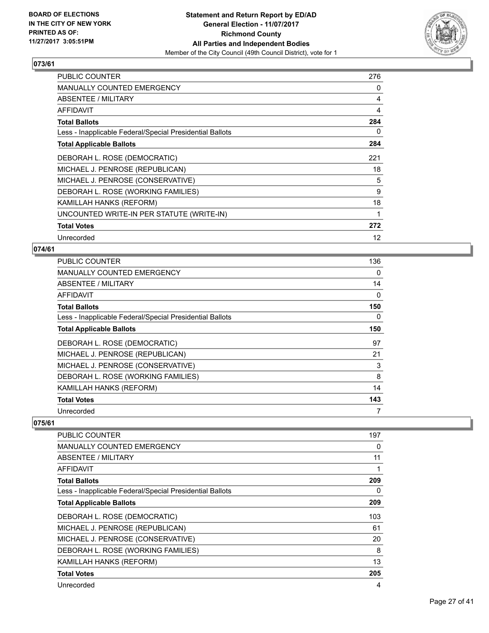

| <b>PUBLIC COUNTER</b>                                    | 276 |
|----------------------------------------------------------|-----|
| <b>MANUALLY COUNTED EMERGENCY</b>                        | 0   |
| ABSENTEE / MILITARY                                      | 4   |
| <b>AFFIDAVIT</b>                                         | 4   |
| <b>Total Ballots</b>                                     | 284 |
| Less - Inapplicable Federal/Special Presidential Ballots | 0   |
| <b>Total Applicable Ballots</b>                          | 284 |
| DEBORAH L. ROSE (DEMOCRATIC)                             | 221 |
| MICHAEL J. PENROSE (REPUBLICAN)                          | 18  |
| MICHAEL J. PENROSE (CONSERVATIVE)                        | 5   |
| DEBORAH L. ROSE (WORKING FAMILIES)                       | 9   |
| KAMILLAH HANKS (REFORM)                                  | 18  |
| UNCOUNTED WRITE-IN PER STATUTE (WRITE-IN)                | 1   |
| <b>Total Votes</b>                                       | 272 |
| Unrecorded                                               | 12  |

## **074/61**

| <b>PUBLIC COUNTER</b>                                    | 136 |
|----------------------------------------------------------|-----|
| <b>MANUALLY COUNTED EMERGENCY</b>                        | 0   |
| ABSENTEE / MILITARY                                      | 14  |
| AFFIDAVIT                                                | 0   |
| <b>Total Ballots</b>                                     | 150 |
| Less - Inapplicable Federal/Special Presidential Ballots | 0   |
| <b>Total Applicable Ballots</b>                          | 150 |
| DEBORAH L. ROSE (DEMOCRATIC)                             | 97  |
| MICHAEL J. PENROSE (REPUBLICAN)                          | 21  |
| MICHAEL J. PENROSE (CONSERVATIVE)                        | 3   |
| DEBORAH L. ROSE (WORKING FAMILIES)                       | 8   |
| KAMILLAH HANKS (REFORM)                                  | 14  |
| <b>Total Votes</b>                                       | 143 |
| Unrecorded                                               |     |

| PUBLIC COUNTER                                           | 197 |
|----------------------------------------------------------|-----|
| <b>MANUALLY COUNTED EMERGENCY</b>                        | 0   |
| ABSENTEE / MILITARY                                      | 11  |
| AFFIDAVIT                                                | 1   |
| <b>Total Ballots</b>                                     | 209 |
| Less - Inapplicable Federal/Special Presidential Ballots | 0   |
| <b>Total Applicable Ballots</b>                          | 209 |
| DEBORAH L. ROSE (DEMOCRATIC)                             | 103 |
| MICHAEL J. PENROSE (REPUBLICAN)                          | 61  |
| MICHAEL J. PENROSE (CONSERVATIVE)                        | 20  |
| DEBORAH L. ROSE (WORKING FAMILIES)                       | 8   |
| <b>KAMILLAH HANKS (REFORM)</b>                           | 13  |
| <b>Total Votes</b>                                       | 205 |
| Unrecorded                                               | 4   |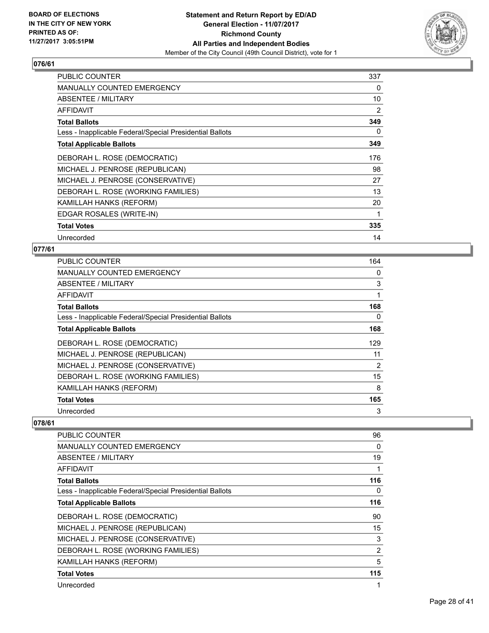

| <b>PUBLIC COUNTER</b>                                    | 337 |
|----------------------------------------------------------|-----|
| MANUALLY COUNTED EMERGENCY                               | 0   |
| ABSENTEE / MILITARY                                      | 10  |
| AFFIDAVIT                                                | 2   |
| <b>Total Ballots</b>                                     | 349 |
| Less - Inapplicable Federal/Special Presidential Ballots | 0   |
| <b>Total Applicable Ballots</b>                          | 349 |
| DEBORAH L. ROSE (DEMOCRATIC)                             | 176 |
| MICHAEL J. PENROSE (REPUBLICAN)                          | 98  |
| MICHAEL J. PENROSE (CONSERVATIVE)                        | 27  |
| DEBORAH L. ROSE (WORKING FAMILIES)                       | 13  |
| KAMILLAH HANKS (REFORM)                                  | 20  |
| EDGAR ROSALES (WRITE-IN)                                 | 1   |
| <b>Total Votes</b>                                       | 335 |
| Unrecorded                                               | 14  |

## **077/61**

| <b>PUBLIC COUNTER</b>                                    | 164 |
|----------------------------------------------------------|-----|
| <b>MANUALLY COUNTED EMERGENCY</b>                        | 0   |
| ABSENTEE / MILITARY                                      | 3   |
| AFFIDAVIT                                                |     |
| <b>Total Ballots</b>                                     | 168 |
| Less - Inapplicable Federal/Special Presidential Ballots | 0   |
| <b>Total Applicable Ballots</b>                          | 168 |
| DEBORAH L. ROSE (DEMOCRATIC)                             | 129 |
| MICHAEL J. PENROSE (REPUBLICAN)                          | 11  |
| MICHAEL J. PENROSE (CONSERVATIVE)                        | 2   |
| DEBORAH L. ROSE (WORKING FAMILIES)                       | 15  |
| KAMILLAH HANKS (REFORM)                                  | 8   |
| <b>Total Votes</b>                                       | 165 |
| Unrecorded                                               | 3   |

| PUBLIC COUNTER                                           | 96  |
|----------------------------------------------------------|-----|
| <b>MANUALLY COUNTED EMERGENCY</b>                        | 0   |
| ABSENTEE / MILITARY                                      | 19  |
| AFFIDAVIT                                                | 1   |
| <b>Total Ballots</b>                                     | 116 |
| Less - Inapplicable Federal/Special Presidential Ballots | 0   |
| <b>Total Applicable Ballots</b>                          | 116 |
| DEBORAH L. ROSE (DEMOCRATIC)                             | 90  |
| MICHAEL J. PENROSE (REPUBLICAN)                          | 15  |
| MICHAEL J. PENROSE (CONSERVATIVE)                        | 3   |
| DEBORAH L. ROSE (WORKING FAMILIES)                       | 2   |
| KAMILLAH HANKS (REFORM)                                  | 5   |
| <b>Total Votes</b>                                       | 115 |
| Unrecorded                                               | 1   |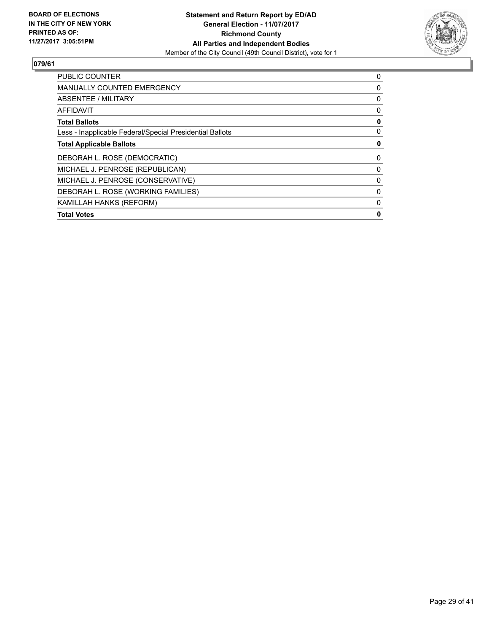

| PUBLIC COUNTER                                           | 0 |
|----------------------------------------------------------|---|
| <b>MANUALLY COUNTED EMERGENCY</b>                        | 0 |
| ABSENTEE / MILITARY                                      | 0 |
| <b>AFFIDAVIT</b>                                         | 0 |
| <b>Total Ballots</b>                                     | 0 |
| Less - Inapplicable Federal/Special Presidential Ballots | 0 |
| <b>Total Applicable Ballots</b>                          | 0 |
| DEBORAH L. ROSE (DEMOCRATIC)                             | 0 |
| MICHAEL J. PENROSE (REPUBLICAN)                          | 0 |
| MICHAEL J. PENROSE (CONSERVATIVE)                        | 0 |
| DEBORAH L. ROSE (WORKING FAMILIES)                       | 0 |
| KAMILLAH HANKS (REFORM)                                  | 0 |
| <b>Total Votes</b>                                       | 0 |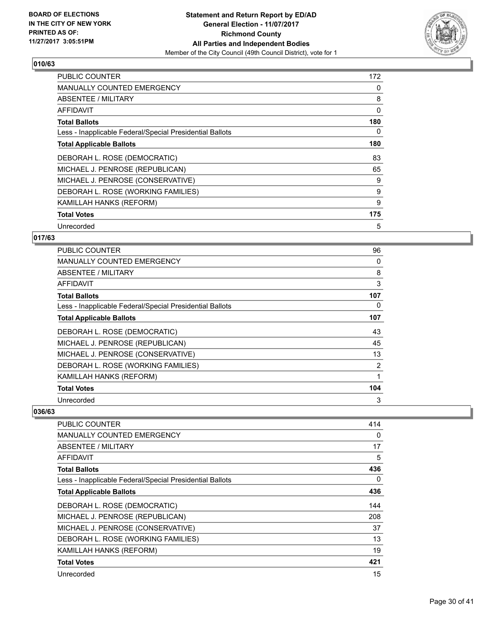

| <b>PUBLIC COUNTER</b>                                    | 172 |
|----------------------------------------------------------|-----|
| <b>MANUALLY COUNTED EMERGENCY</b>                        | 0   |
| <b>ABSENTEE / MILITARY</b>                               | 8   |
| AFFIDAVIT                                                | 0   |
| <b>Total Ballots</b>                                     | 180 |
| Less - Inapplicable Federal/Special Presidential Ballots | 0   |
| <b>Total Applicable Ballots</b>                          | 180 |
| DEBORAH L. ROSE (DEMOCRATIC)                             | 83  |
| MICHAEL J. PENROSE (REPUBLICAN)                          | 65  |
| MICHAEL J. PENROSE (CONSERVATIVE)                        | 9   |
| DEBORAH L. ROSE (WORKING FAMILIES)                       | 9   |
| KAMILLAH HANKS (REFORM)                                  | 9   |
| <b>Total Votes</b>                                       | 175 |
| Unrecorded                                               | 5   |

## **017/63**

| <b>PUBLIC COUNTER</b>                                    | 96             |
|----------------------------------------------------------|----------------|
| <b>MANUALLY COUNTED EMERGENCY</b>                        | 0              |
| ABSENTEE / MILITARY                                      | 8              |
| AFFIDAVIT                                                | 3              |
| <b>Total Ballots</b>                                     | 107            |
| Less - Inapplicable Federal/Special Presidential Ballots | 0              |
| <b>Total Applicable Ballots</b>                          | 107            |
| DEBORAH L. ROSE (DEMOCRATIC)                             | 43             |
| MICHAEL J. PENROSE (REPUBLICAN)                          | 45             |
| MICHAEL J. PENROSE (CONSERVATIVE)                        | 13             |
| DEBORAH L. ROSE (WORKING FAMILIES)                       | $\overline{2}$ |
| KAMILLAH HANKS (REFORM)                                  |                |
| <b>Total Votes</b>                                       | 104            |
| Unrecorded                                               | 3              |

| <b>PUBLIC COUNTER</b>                                    | 414 |
|----------------------------------------------------------|-----|
| <b>MANUALLY COUNTED EMERGENCY</b>                        | 0   |
| ABSENTEE / MILITARY                                      | 17  |
| AFFIDAVIT                                                | 5   |
| <b>Total Ballots</b>                                     | 436 |
| Less - Inapplicable Federal/Special Presidential Ballots | 0   |
| <b>Total Applicable Ballots</b>                          | 436 |
| DEBORAH L. ROSE (DEMOCRATIC)                             | 144 |
| MICHAEL J. PENROSE (REPUBLICAN)                          | 208 |
| MICHAEL J. PENROSE (CONSERVATIVE)                        | 37  |
| DEBORAH L. ROSE (WORKING FAMILIES)                       | 13  |
| KAMILLAH HANKS (REFORM)                                  | 19  |
| <b>Total Votes</b>                                       | 421 |
| Unrecorded                                               | 15  |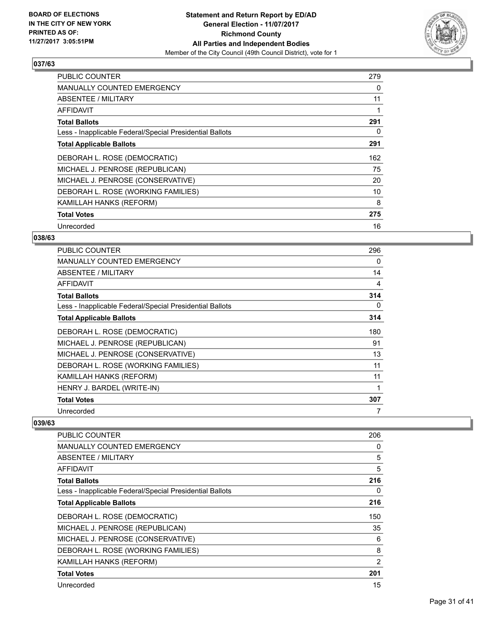

| <b>PUBLIC COUNTER</b>                                    | 279 |
|----------------------------------------------------------|-----|
| <b>MANUALLY COUNTED EMERGENCY</b>                        | 0   |
| <b>ABSENTEE / MILITARY</b>                               | 11  |
| AFFIDAVIT                                                |     |
| <b>Total Ballots</b>                                     | 291 |
| Less - Inapplicable Federal/Special Presidential Ballots | 0   |
| <b>Total Applicable Ballots</b>                          | 291 |
| DEBORAH L. ROSE (DEMOCRATIC)                             | 162 |
| MICHAEL J. PENROSE (REPUBLICAN)                          | 75  |
| MICHAEL J. PENROSE (CONSERVATIVE)                        | 20  |
|                                                          |     |
| DEBORAH L. ROSE (WORKING FAMILIES)                       | 10  |
| <b>KAMILLAH HANKS (REFORM)</b>                           | 8   |
| <b>Total Votes</b>                                       | 275 |

## **038/63**

| <b>PUBLIC COUNTER</b>                                    | 296 |
|----------------------------------------------------------|-----|
| <b>MANUALLY COUNTED EMERGENCY</b>                        | 0   |
| ABSENTEE / MILITARY                                      | 14  |
| AFFIDAVIT                                                | 4   |
| <b>Total Ballots</b>                                     | 314 |
| Less - Inapplicable Federal/Special Presidential Ballots | 0   |
| <b>Total Applicable Ballots</b>                          | 314 |
| DEBORAH L. ROSE (DEMOCRATIC)                             | 180 |
| MICHAEL J. PENROSE (REPUBLICAN)                          | 91  |
| MICHAEL J. PENROSE (CONSERVATIVE)                        | 13  |
| DEBORAH L. ROSE (WORKING FAMILIES)                       | 11  |
| KAMILLAH HANKS (REFORM)                                  | 11  |
| HENRY J. BARDEL (WRITE-IN)                               |     |
| <b>Total Votes</b>                                       | 307 |
| Unrecorded                                               |     |

| PUBLIC COUNTER                                           | 206            |
|----------------------------------------------------------|----------------|
| <b>MANUALLY COUNTED EMERGENCY</b>                        | 0              |
| ABSENTEE / MILITARY                                      | 5              |
| <b>AFFIDAVIT</b>                                         | 5              |
| <b>Total Ballots</b>                                     | 216            |
| Less - Inapplicable Federal/Special Presidential Ballots | 0              |
| <b>Total Applicable Ballots</b>                          | 216            |
| DEBORAH L. ROSE (DEMOCRATIC)                             | 150            |
| MICHAEL J. PENROSE (REPUBLICAN)                          | 35             |
| MICHAEL J. PENROSE (CONSERVATIVE)                        | 6              |
| DEBORAH L. ROSE (WORKING FAMILIES)                       | 8              |
| KAMILLAH HANKS (REFORM)                                  | $\overline{2}$ |
| <b>Total Votes</b>                                       | 201            |
| Unrecorded                                               | 15             |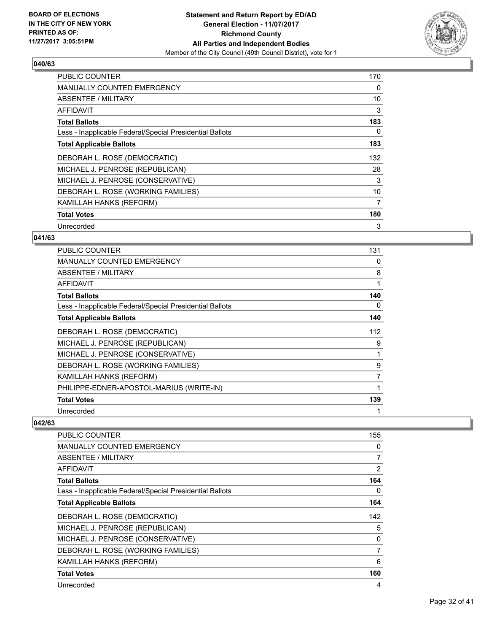

| <b>PUBLIC COUNTER</b>                                    | 170 |
|----------------------------------------------------------|-----|
| <b>MANUALLY COUNTED EMERGENCY</b>                        | 0   |
| <b>ABSENTEE / MILITARY</b>                               | 10  |
| <b>AFFIDAVIT</b>                                         | 3   |
| <b>Total Ballots</b>                                     | 183 |
| Less - Inapplicable Federal/Special Presidential Ballots | 0   |
| <b>Total Applicable Ballots</b>                          | 183 |
| DEBORAH L. ROSE (DEMOCRATIC)                             | 132 |
| MICHAEL J. PENROSE (REPUBLICAN)                          | 28  |
| MICHAEL J. PENROSE (CONSERVATIVE)                        | 3   |
| DEBORAH L. ROSE (WORKING FAMILIES)                       | 10  |
| KAMILLAH HANKS (REFORM)                                  | 7   |
| <b>Total Votes</b>                                       | 180 |
| Unrecorded                                               | 3   |

## **041/63**

| <b>PUBLIC COUNTER</b>                                    | 131 |
|----------------------------------------------------------|-----|
| <b>MANUALLY COUNTED EMERGENCY</b>                        | 0   |
| ABSENTEE / MILITARY                                      | 8   |
| AFFIDAVIT                                                | 1   |
| <b>Total Ballots</b>                                     | 140 |
| Less - Inapplicable Federal/Special Presidential Ballots | 0   |
| <b>Total Applicable Ballots</b>                          | 140 |
| DEBORAH L. ROSE (DEMOCRATIC)                             | 112 |
| MICHAEL J. PENROSE (REPUBLICAN)                          | 9   |
| MICHAEL J. PENROSE (CONSERVATIVE)                        | 1   |
| DEBORAH L. ROSE (WORKING FAMILIES)                       | 9   |
| KAMILLAH HANKS (REFORM)                                  | 7   |
| PHILIPPE-EDNER-APOSTOL-MARIUS (WRITE-IN)                 |     |
| <b>Total Votes</b>                                       | 139 |
| Unrecorded                                               |     |

| PUBLIC COUNTER                                           | 155 |
|----------------------------------------------------------|-----|
| <b>MANUALLY COUNTED EMERGENCY</b>                        | 0   |
| ABSENTEE / MILITARY                                      | 7   |
| AFFIDAVIT                                                | 2   |
| <b>Total Ballots</b>                                     | 164 |
| Less - Inapplicable Federal/Special Presidential Ballots | 0   |
| <b>Total Applicable Ballots</b>                          | 164 |
| DEBORAH L. ROSE (DEMOCRATIC)                             | 142 |
| MICHAEL J. PENROSE (REPUBLICAN)                          | 5   |
| MICHAEL J. PENROSE (CONSERVATIVE)                        | 0   |
| DEBORAH L. ROSE (WORKING FAMILIES)                       | 7   |
| KAMILLAH HANKS (REFORM)                                  | 6   |
| <b>Total Votes</b>                                       | 160 |
| Unrecorded                                               | 4   |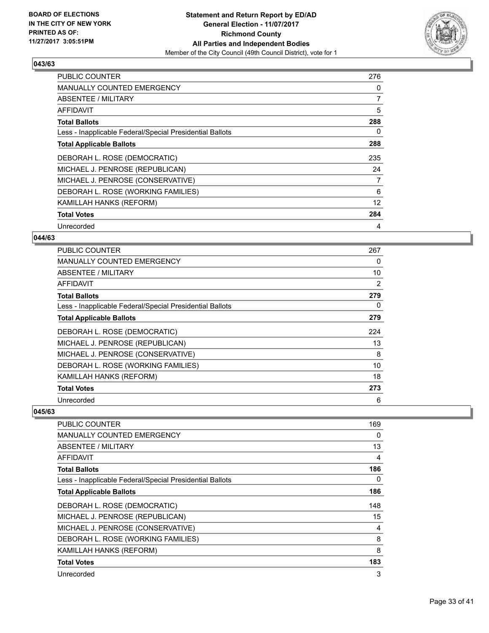

| <b>PUBLIC COUNTER</b>                                    | 276            |
|----------------------------------------------------------|----------------|
| <b>MANUALLY COUNTED EMERGENCY</b>                        | 0              |
| <b>ABSENTEE / MILITARY</b>                               | $\overline{7}$ |
| <b>AFFIDAVIT</b>                                         | 5              |
| <b>Total Ballots</b>                                     | 288            |
| Less - Inapplicable Federal/Special Presidential Ballots | 0              |
| <b>Total Applicable Ballots</b>                          | 288            |
| DEBORAH L. ROSE (DEMOCRATIC)                             | 235            |
| MICHAEL J. PENROSE (REPUBLICAN)                          | 24             |
| MICHAEL J. PENROSE (CONSERVATIVE)                        | 7              |
| DEBORAH L. ROSE (WORKING FAMILIES)                       | 6              |
| KAMILLAH HANKS (REFORM)                                  | 12             |
| <b>Total Votes</b>                                       | 284            |
| Unrecorded                                               | 4              |

#### **044/63**

| PUBLIC COUNTER                                           | 267 |
|----------------------------------------------------------|-----|
| <b>MANUALLY COUNTED EMERGENCY</b>                        | 0   |
| <b>ABSENTEE / MILITARY</b>                               | 10  |
| AFFIDAVIT                                                | 2   |
| <b>Total Ballots</b>                                     | 279 |
| Less - Inapplicable Federal/Special Presidential Ballots | 0   |
| <b>Total Applicable Ballots</b>                          | 279 |
| DEBORAH L. ROSE (DEMOCRATIC)                             | 224 |
| MICHAEL J. PENROSE (REPUBLICAN)                          | 13  |
| MICHAEL J. PENROSE (CONSERVATIVE)                        | 8   |
| DEBORAH L. ROSE (WORKING FAMILIES)                       | 10  |
| KAMILLAH HANKS (REFORM)                                  | 18  |
| <b>Total Votes</b>                                       | 273 |
| Unrecorded                                               | 6   |

| <b>PUBLIC COUNTER</b>                                    | 169 |
|----------------------------------------------------------|-----|
|                                                          |     |
| <b>MANUALLY COUNTED EMERGENCY</b>                        | 0   |
| <b>ABSENTEE / MILITARY</b>                               | 13  |
| <b>AFFIDAVIT</b>                                         | 4   |
| <b>Total Ballots</b>                                     | 186 |
| Less - Inapplicable Federal/Special Presidential Ballots | 0   |
| <b>Total Applicable Ballots</b>                          | 186 |
| DEBORAH L. ROSE (DEMOCRATIC)                             | 148 |
| MICHAEL J. PENROSE (REPUBLICAN)                          | 15  |
| MICHAEL J. PENROSE (CONSERVATIVE)                        | 4   |
| DEBORAH L. ROSE (WORKING FAMILIES)                       | 8   |
| KAMILLAH HANKS (REFORM)                                  | 8   |
| <b>Total Votes</b>                                       | 183 |
| Unrecorded                                               | 3   |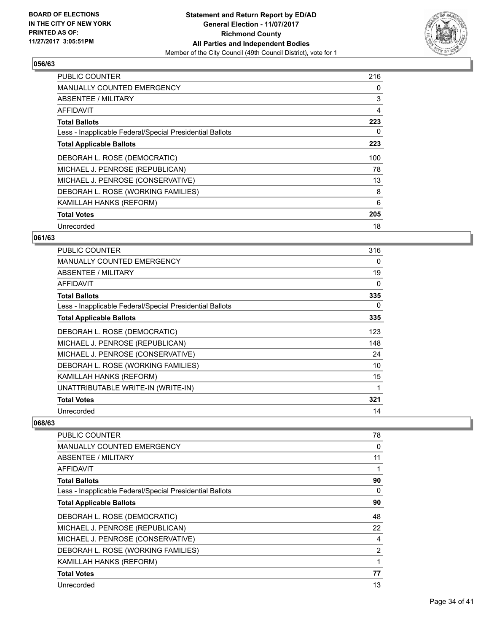

| <b>PUBLIC COUNTER</b>                                    | 216 |
|----------------------------------------------------------|-----|
| <b>MANUALLY COUNTED EMERGENCY</b>                        | 0   |
| <b>ABSENTEE / MILITARY</b>                               | 3   |
| <b>AFFIDAVIT</b>                                         | 4   |
| <b>Total Ballots</b>                                     | 223 |
| Less - Inapplicable Federal/Special Presidential Ballots | 0   |
| <b>Total Applicable Ballots</b>                          | 223 |
| DEBORAH L. ROSE (DEMOCRATIC)                             | 100 |
| MICHAEL J. PENROSE (REPUBLICAN)                          | 78  |
| MICHAEL J. PENROSE (CONSERVATIVE)                        | 13  |
| DEBORAH L. ROSE (WORKING FAMILIES)                       | 8   |
| <b>KAMILLAH HANKS (REFORM)</b>                           | 6   |
| <b>Total Votes</b>                                       | 205 |
| Unrecorded                                               | 18  |

## **061/63**

| <b>PUBLIC COUNTER</b>                                    | 316 |
|----------------------------------------------------------|-----|
| <b>MANUALLY COUNTED EMERGENCY</b>                        | 0   |
| ABSENTEE / MILITARY                                      | 19  |
| AFFIDAVIT                                                | 0   |
| <b>Total Ballots</b>                                     | 335 |
| Less - Inapplicable Federal/Special Presidential Ballots | 0   |
| <b>Total Applicable Ballots</b>                          | 335 |
| DEBORAH L. ROSE (DEMOCRATIC)                             | 123 |
| MICHAEL J. PENROSE (REPUBLICAN)                          | 148 |
| MICHAEL J. PENROSE (CONSERVATIVE)                        | 24  |
| DEBORAH L. ROSE (WORKING FAMILIES)                       | 10  |
| KAMILLAH HANKS (REFORM)                                  | 15  |
| UNATTRIBUTABLE WRITE-IN (WRITE-IN)                       | 1   |
| <b>Total Votes</b>                                       | 321 |
| Unrecorded                                               | 14  |

| PUBLIC COUNTER                                           | 78 |
|----------------------------------------------------------|----|
| <b>MANUALLY COUNTED EMERGENCY</b>                        | 0  |
| ABSENTEE / MILITARY                                      | 11 |
| AFFIDAVIT                                                | 1  |
| <b>Total Ballots</b>                                     | 90 |
| Less - Inapplicable Federal/Special Presidential Ballots | 0  |
| <b>Total Applicable Ballots</b>                          | 90 |
| DEBORAH L. ROSE (DEMOCRATIC)                             | 48 |
| MICHAEL J. PENROSE (REPUBLICAN)                          | 22 |
| MICHAEL J. PENROSE (CONSERVATIVE)                        | 4  |
| DEBORAH L. ROSE (WORKING FAMILIES)                       | 2  |
| KAMILLAH HANKS (REFORM)                                  | 1  |
| <b>Total Votes</b>                                       | 77 |
| Unrecorded                                               | 13 |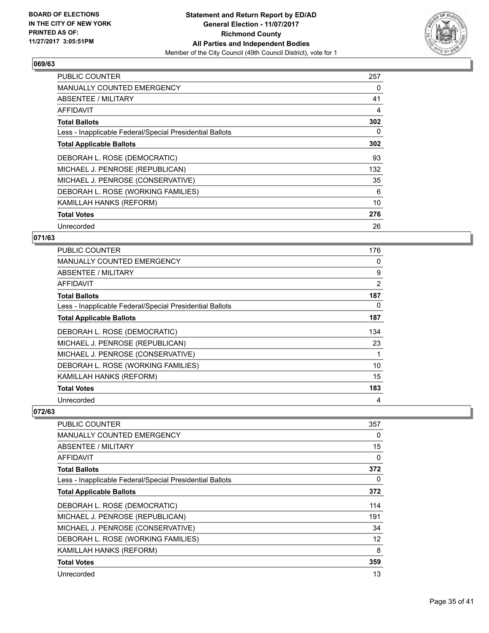

| <b>PUBLIC COUNTER</b>                                    | 257 |
|----------------------------------------------------------|-----|
| <b>MANUALLY COUNTED EMERGENCY</b>                        | 0   |
| <b>ABSENTEE / MILITARY</b>                               | 41  |
| AFFIDAVIT                                                | 4   |
| <b>Total Ballots</b>                                     | 302 |
| Less - Inapplicable Federal/Special Presidential Ballots | 0   |
| <b>Total Applicable Ballots</b>                          | 302 |
| DEBORAH L. ROSE (DEMOCRATIC)                             | 93  |
| MICHAEL J. PENROSE (REPUBLICAN)                          | 132 |
| MICHAEL J. PENROSE (CONSERVATIVE)                        | 35  |
| DEBORAH L. ROSE (WORKING FAMILIES)                       | 6   |
| <b>KAMILLAH HANKS (REFORM)</b>                           | 10  |
| <b>Total Votes</b>                                       | 276 |
| Unrecorded                                               | 26  |

## **071/63**

| <b>PUBLIC COUNTER</b>                                    | 176 |
|----------------------------------------------------------|-----|
| <b>MANUALLY COUNTED EMERGENCY</b>                        | 0   |
| ABSENTEE / MILITARY                                      | 9   |
| AFFIDAVIT                                                | 2   |
| <b>Total Ballots</b>                                     | 187 |
| Less - Inapplicable Federal/Special Presidential Ballots | 0   |
| <b>Total Applicable Ballots</b>                          | 187 |
| DEBORAH L. ROSE (DEMOCRATIC)                             | 134 |
| MICHAEL J. PENROSE (REPUBLICAN)                          | 23  |
| MICHAEL J. PENROSE (CONSERVATIVE)                        |     |
| DEBORAH L. ROSE (WORKING FAMILIES)                       | 10  |
| KAMILLAH HANKS (REFORM)                                  | 15  |
| <b>Total Votes</b>                                       | 183 |
| Unrecorded                                               | 4   |

| <b>PUBLIC COUNTER</b>                                    | 357      |
|----------------------------------------------------------|----------|
| <b>MANUALLY COUNTED EMERGENCY</b>                        | 0        |
| <b>ABSENTEE / MILITARY</b>                               | 15       |
| <b>AFFIDAVIT</b>                                         | 0        |
| <b>Total Ballots</b>                                     | 372      |
| Less - Inapplicable Federal/Special Presidential Ballots | $\Omega$ |
| <b>Total Applicable Ballots</b>                          | 372      |
| DEBORAH L. ROSE (DEMOCRATIC)                             | 114      |
| MICHAEL J. PENROSE (REPUBLICAN)                          | 191      |
| MICHAEL J. PENROSE (CONSERVATIVE)                        | 34       |
| DEBORAH L. ROSE (WORKING FAMILIES)                       | 12       |
| KAMILLAH HANKS (REFORM)                                  | 8        |
| <b>Total Votes</b>                                       | 359      |
| Unrecorded                                               | 13       |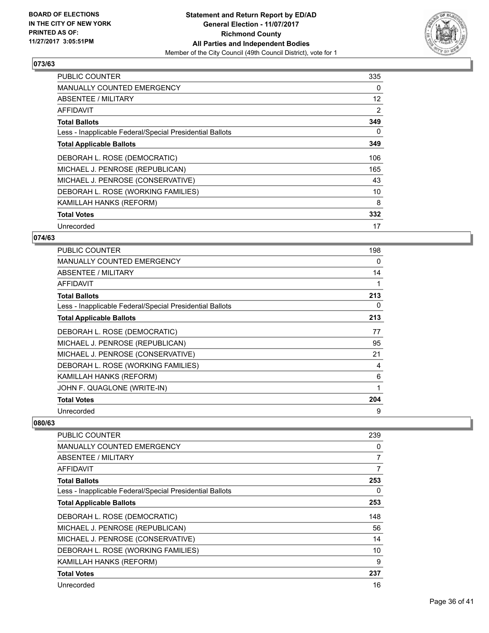

| <b>PUBLIC COUNTER</b>                                    | 335 |
|----------------------------------------------------------|-----|
| <b>MANUALLY COUNTED EMERGENCY</b>                        | 0   |
| <b>ABSENTEE / MILITARY</b>                               | 12  |
| <b>AFFIDAVIT</b>                                         | 2   |
| <b>Total Ballots</b>                                     | 349 |
| Less - Inapplicable Federal/Special Presidential Ballots | 0   |
| <b>Total Applicable Ballots</b>                          | 349 |
| DEBORAH L. ROSE (DEMOCRATIC)                             | 106 |
| MICHAEL J. PENROSE (REPUBLICAN)                          | 165 |
| MICHAEL J. PENROSE (CONSERVATIVE)                        | 43  |
| DEBORAH L. ROSE (WORKING FAMILIES)                       | 10  |
| <b>KAMILLAH HANKS (REFORM)</b>                           | 8   |
| <b>Total Votes</b>                                       | 332 |
| Unrecorded                                               | 17  |

## **074/63**

| <b>PUBLIC COUNTER</b>                                    | 198 |
|----------------------------------------------------------|-----|
| <b>MANUALLY COUNTED EMERGENCY</b>                        | 0   |
| ABSENTEE / MILITARY                                      | 14  |
| AFFIDAVIT                                                |     |
| <b>Total Ballots</b>                                     | 213 |
| Less - Inapplicable Federal/Special Presidential Ballots | 0   |
| <b>Total Applicable Ballots</b>                          | 213 |
| DEBORAH L. ROSE (DEMOCRATIC)                             | 77  |
| MICHAEL J. PENROSE (REPUBLICAN)                          | 95  |
| MICHAEL J. PENROSE (CONSERVATIVE)                        | 21  |
| DEBORAH L. ROSE (WORKING FAMILIES)                       | 4   |
| KAMILLAH HANKS (REFORM)                                  | 6   |
| JOHN F. QUAGLONE (WRITE-IN)                              | 1   |
| <b>Total Votes</b>                                       | 204 |
| Unrecorded                                               | 9   |

| PUBLIC COUNTER                                           | 239 |
|----------------------------------------------------------|-----|
| <b>MANUALLY COUNTED EMERGENCY</b>                        | 0   |
| ABSENTEE / MILITARY                                      | 7   |
| AFFIDAVIT                                                | 7   |
| <b>Total Ballots</b>                                     | 253 |
| Less - Inapplicable Federal/Special Presidential Ballots | 0   |
| <b>Total Applicable Ballots</b>                          | 253 |
| DEBORAH L. ROSE (DEMOCRATIC)                             | 148 |
| MICHAEL J. PENROSE (REPUBLICAN)                          | 56  |
| MICHAEL J. PENROSE (CONSERVATIVE)                        | 14  |
| DEBORAH L. ROSE (WORKING FAMILIES)                       | 10  |
| KAMILLAH HANKS (REFORM)                                  | 9   |
| <b>Total Votes</b>                                       | 237 |
| Unrecorded                                               | 16  |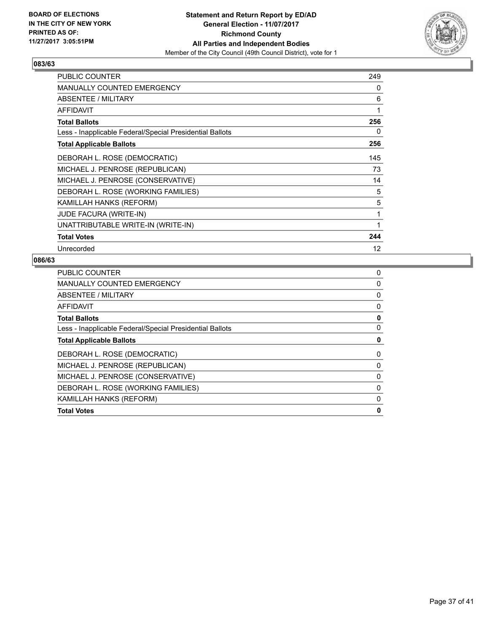

| <b>PUBLIC COUNTER</b>                                    | 249 |
|----------------------------------------------------------|-----|
| <b>MANUALLY COUNTED EMERGENCY</b>                        | 0   |
| ABSENTEE / MILITARY                                      | 6   |
| <b>AFFIDAVIT</b>                                         | 1   |
| <b>Total Ballots</b>                                     | 256 |
| Less - Inapplicable Federal/Special Presidential Ballots | 0   |
| <b>Total Applicable Ballots</b>                          | 256 |
| DEBORAH L. ROSE (DEMOCRATIC)                             | 145 |
| MICHAEL J. PENROSE (REPUBLICAN)                          | 73  |
| MICHAEL J. PENROSE (CONSERVATIVE)                        | 14  |
| DEBORAH L. ROSE (WORKING FAMILIES)                       | 5   |
| KAMILLAH HANKS (REFORM)                                  | 5   |
| <b>JUDE FACURA (WRITE-IN)</b>                            | 1   |
| UNATTRIBUTABLE WRITE-IN (WRITE-IN)                       | 1   |
| <b>Total Votes</b>                                       | 244 |
| Unrecorded                                               | 12  |

| <b>PUBLIC COUNTER</b>                                    | 0 |
|----------------------------------------------------------|---|
| <b>MANUALLY COUNTED EMERGENCY</b>                        | 0 |
| ABSENTEE / MILITARY                                      | 0 |
| AFFIDAVIT                                                | 0 |
| <b>Total Ballots</b>                                     | 0 |
| Less - Inapplicable Federal/Special Presidential Ballots | 0 |
| <b>Total Applicable Ballots</b>                          | 0 |
| DEBORAH L. ROSE (DEMOCRATIC)                             | 0 |
| MICHAEL J. PENROSE (REPUBLICAN)                          | 0 |
| MICHAEL J. PENROSE (CONSERVATIVE)                        | 0 |
| DEBORAH L. ROSE (WORKING FAMILIES)                       | 0 |
| KAMILLAH HANKS (REFORM)                                  | 0 |
| <b>Total Votes</b>                                       | 0 |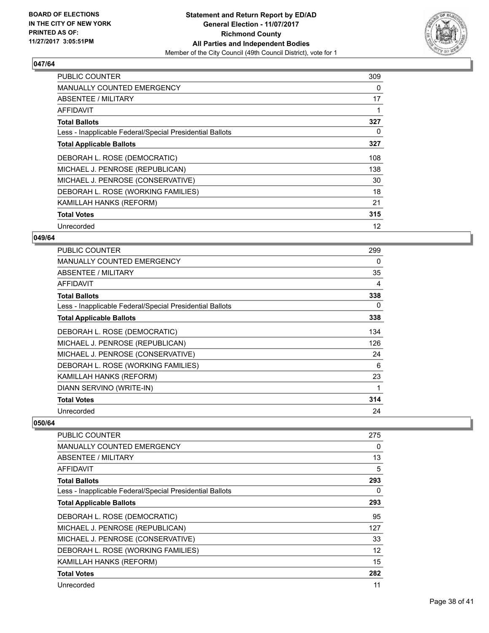

| <b>PUBLIC COUNTER</b>                                    | 309 |
|----------------------------------------------------------|-----|
| <b>MANUALLY COUNTED EMERGENCY</b>                        | 0   |
| <b>ABSENTEE / MILITARY</b>                               | 17  |
| AFFIDAVIT                                                |     |
| <b>Total Ballots</b>                                     | 327 |
| Less - Inapplicable Federal/Special Presidential Ballots | 0   |
| <b>Total Applicable Ballots</b>                          | 327 |
| DEBORAH L. ROSE (DEMOCRATIC)                             | 108 |
| MICHAEL J. PENROSE (REPUBLICAN)                          | 138 |
| MICHAEL J. PENROSE (CONSERVATIVE)                        | 30  |
| DEBORAH L. ROSE (WORKING FAMILIES)                       | 18  |
| KAMILLAH HANKS (REFORM)                                  | 21  |
| <b>Total Votes</b>                                       | 315 |
| Unrecorded                                               | 12  |

## **049/64**

| <b>PUBLIC COUNTER</b>                                    | 299 |
|----------------------------------------------------------|-----|
| <b>MANUALLY COUNTED EMERGENCY</b>                        | 0   |
| ABSENTEE / MILITARY                                      | 35  |
| AFFIDAVIT                                                | 4   |
| <b>Total Ballots</b>                                     | 338 |
| Less - Inapplicable Federal/Special Presidential Ballots | 0   |
| <b>Total Applicable Ballots</b>                          | 338 |
| DEBORAH L. ROSE (DEMOCRATIC)                             | 134 |
| MICHAEL J. PENROSE (REPUBLICAN)                          | 126 |
| MICHAEL J. PENROSE (CONSERVATIVE)                        | 24  |
| DEBORAH L. ROSE (WORKING FAMILIES)                       | 6   |
| KAMILLAH HANKS (REFORM)                                  | 23  |
| DIANN SERVINO (WRITE-IN)                                 | 1   |
| <b>Total Votes</b>                                       | 314 |
| Unrecorded                                               | 24  |

| <b>PUBLIC COUNTER</b>                                    | 275               |
|----------------------------------------------------------|-------------------|
| <b>MANUALLY COUNTED EMERGENCY</b>                        | 0                 |
| ABSENTEE / MILITARY                                      | 13                |
| AFFIDAVIT                                                | 5                 |
| <b>Total Ballots</b>                                     | 293               |
| Less - Inapplicable Federal/Special Presidential Ballots | 0                 |
| <b>Total Applicable Ballots</b>                          | 293               |
| DEBORAH L. ROSE (DEMOCRATIC)                             | 95                |
| MICHAEL J. PENROSE (REPUBLICAN)                          | 127               |
| MICHAEL J. PENROSE (CONSERVATIVE)                        | 33                |
| DEBORAH L. ROSE (WORKING FAMILIES)                       | $12 \overline{ }$ |
| KAMILLAH HANKS (REFORM)                                  | 15                |
| <b>Total Votes</b>                                       | 282               |
| Unrecorded                                               | 11                |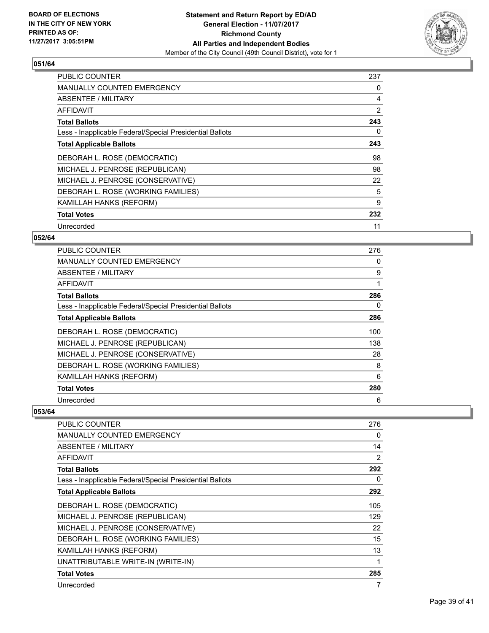

| <b>PUBLIC COUNTER</b>                                    | 237 |
|----------------------------------------------------------|-----|
| <b>MANUALLY COUNTED EMERGENCY</b>                        | 0   |
| <b>ABSENTEE / MILITARY</b>                               | 4   |
| AFFIDAVIT                                                | 2   |
| <b>Total Ballots</b>                                     | 243 |
| Less - Inapplicable Federal/Special Presidential Ballots | 0   |
| <b>Total Applicable Ballots</b>                          | 243 |
| DEBORAH L. ROSE (DEMOCRATIC)                             | 98  |
| MICHAEL J. PENROSE (REPUBLICAN)                          | 98  |
| MICHAEL J. PENROSE (CONSERVATIVE)                        | 22  |
| DEBORAH L. ROSE (WORKING FAMILIES)                       | 5   |
| <b>KAMILLAH HANKS (REFORM)</b>                           | 9   |
| <b>Total Votes</b>                                       | 232 |
| Unrecorded                                               | 11  |

## **052/64**

| PUBLIC COUNTER                                           | 276 |
|----------------------------------------------------------|-----|
| <b>MANUALLY COUNTED EMERGENCY</b>                        | 0   |
| <b>ABSENTEE / MILITARY</b>                               | 9   |
| AFFIDAVIT                                                |     |
| <b>Total Ballots</b>                                     | 286 |
| Less - Inapplicable Federal/Special Presidential Ballots | 0   |
| <b>Total Applicable Ballots</b>                          | 286 |
| DEBORAH L. ROSE (DEMOCRATIC)                             | 100 |
| MICHAEL J. PENROSE (REPUBLICAN)                          | 138 |
| MICHAEL J. PENROSE (CONSERVATIVE)                        | 28  |
| DEBORAH L. ROSE (WORKING FAMILIES)                       | 8   |
| KAMILLAH HANKS (REFORM)                                  | 6   |
| <b>Total Votes</b>                                       | 280 |
| Unrecorded                                               | 6   |

| PUBLIC COUNTER                                           | 276 |
|----------------------------------------------------------|-----|
| <b>MANUALLY COUNTED EMERGENCY</b>                        | 0   |
| <b>ABSENTEE / MILITARY</b>                               | 14  |
| AFFIDAVIT                                                | 2   |
| <b>Total Ballots</b>                                     | 292 |
| Less - Inapplicable Federal/Special Presidential Ballots | 0   |
| <b>Total Applicable Ballots</b>                          | 292 |
| DEBORAH L. ROSE (DEMOCRATIC)                             | 105 |
| MICHAEL J. PENROSE (REPUBLICAN)                          | 129 |
| MICHAEL J. PENROSE (CONSERVATIVE)                        | 22  |
| DEBORAH L. ROSE (WORKING FAMILIES)                       | 15  |
| KAMILLAH HANKS (REFORM)                                  | 13  |
| UNATTRIBUTABLE WRITE-IN (WRITE-IN)                       | 1   |
| <b>Total Votes</b>                                       | 285 |
| Unrecorded                                               | 7   |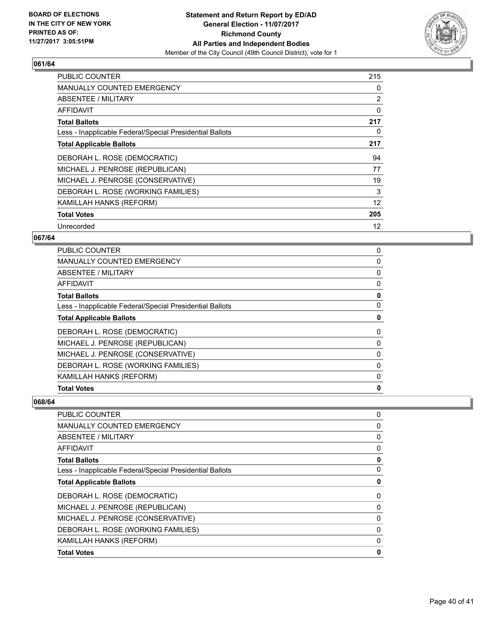

| <b>PUBLIC COUNTER</b>                                    | 215 |
|----------------------------------------------------------|-----|
| <b>MANUALLY COUNTED EMERGENCY</b>                        | 0   |
| <b>ABSENTEE / MILITARY</b>                               | 2   |
| <b>AFFIDAVIT</b>                                         | 0   |
| <b>Total Ballots</b>                                     | 217 |
| Less - Inapplicable Federal/Special Presidential Ballots | 0   |
| <b>Total Applicable Ballots</b>                          | 217 |
| DEBORAH L. ROSE (DEMOCRATIC)                             | 94  |
| MICHAEL J. PENROSE (REPUBLICAN)                          | 77  |
|                                                          |     |
| MICHAEL J. PENROSE (CONSERVATIVE)                        | 19  |
| DEBORAH L. ROSE (WORKING FAMILIES)                       | 3   |
| KAMILLAH HANKS (REFORM)                                  | 12  |
| <b>Total Votes</b>                                       | 205 |

## **067/64**

| <b>PUBLIC COUNTER</b>                                    | 0        |
|----------------------------------------------------------|----------|
| <b>MANUALLY COUNTED EMERGENCY</b>                        | 0        |
| ABSENTEE / MILITARY                                      | 0        |
| AFFIDAVIT                                                | 0        |
| <b>Total Ballots</b>                                     | 0        |
| Less - Inapplicable Federal/Special Presidential Ballots | 0        |
| <b>Total Applicable Ballots</b>                          | 0        |
| DEBORAH L. ROSE (DEMOCRATIC)                             | 0        |
| MICHAEL J. PENROSE (REPUBLICAN)                          | 0        |
| MICHAEL J. PENROSE (CONSERVATIVE)                        | 0        |
| DEBORAH L. ROSE (WORKING FAMILIES)                       | 0        |
| KAMILLAH HANKS (REFORM)                                  | $\Omega$ |
| <b>Total Votes</b>                                       | 0        |

| <b>MANUALLY COUNTED EMERGENCY</b>                        | $\Omega$ |
|----------------------------------------------------------|----------|
|                                                          |          |
| ABSENTEE / MILITARY                                      | 0        |
| <b>AFFIDAVIT</b>                                         | 0        |
| <b>Total Ballots</b>                                     | 0        |
| Less - Inapplicable Federal/Special Presidential Ballots | 0        |
| <b>Total Applicable Ballots</b>                          | 0        |
| DEBORAH L. ROSE (DEMOCRATIC)                             | 0        |
| MICHAEL J. PENROSE (REPUBLICAN)                          | 0        |
| MICHAEL J. PENROSE (CONSERVATIVE)                        | 0        |
| DEBORAH L. ROSE (WORKING FAMILIES)                       | 0        |
| KAMILLAH HANKS (REFORM)                                  | 0        |
| <b>Total Votes</b>                                       | 0        |